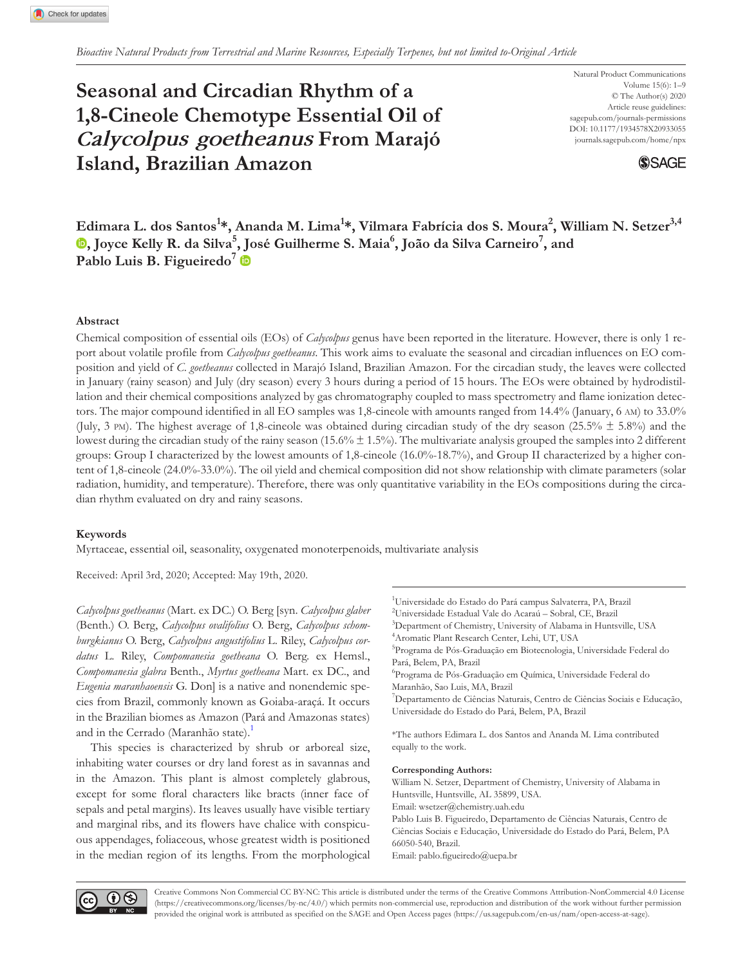# **Seasonal and Circadian Rhythm of a 1,8-Cineole Chemotype Essential Oil of**  *Calycolpus goetheanus* **From Marajó Island, Brazilian Amazon**

Natural Product Communications Volume 15(6): 1–9 © The Author(s) 2020 Article reuse guidelines: sagepub.com/journals-permissions DOI: 10.1177/1934578X20933055 [journals.sagepub.com/home/npx](https://journals.sagepub.com/home/npx)



**[Ed](https://orcid.org/0000-0002-3639-0528)imara L. dos Santos<sup>1</sup> \*, Ananda M. Lima<sup>1</sup> \*, Vilmara Fabrícia dos S. Moura2 , William N. Setzer3,4 , Joyce Kelly R. da Silva<sup>5</sup> [, Jo](https://orcid.org/0000-0003-1365-3513)sé Guilherme S. Maia6 , João da Silva Carneiro<sup>7</sup> , and Pablo Luis B. Figueiredo<sup>7</sup>**

### **Abstract**

Chemical composition of essential oils (EOs) of *Calycolpus* genus have been reported in the literature. However, there is only 1 report about volatile profile from *Calycolpus goetheanus*. This work aims to evaluate the seasonal and circadian influences on EO composition and yield of *C. goetheanus* collected in Marajó Island, Brazilian Amazon. For the circadian study, the leaves were collected in January (rainy season) and July (dry season) every 3 hours during a period of 15 hours. The EOs were obtained by hydrodistillation and their chemical compositions analyzed by gas chromatography coupled to mass spectrometry and flame ionization detectors. The major compound identified in all EO samples was 1,8-cineole with amounts ranged from 14.4% (January, 6 am) to 33.0% (July, 3 pm). The highest average of 1,8-cineole was obtained during circadian study of the dry season (25.5%  $\pm$  5.8%) and the lowest during the circadian study of the rainy season (15.6%  $\pm$  1.5%). The multivariate analysis grouped the samples into 2 different groups: Group I characterized by the lowest amounts of 1,8-cineole (16.0%-18.7%), and Group II characterized by a higher content of 1,8-cineole (24.0%-33.0%). The oil yield and chemical composition did not show relationship with climate parameters (solar radiation, humidity, and temperature). Therefore, there was only quantitative variability in the EOs compositions during the circadian rhythm evaluated on dry and rainy seasons.

## **Keywords**

Myrtaceae, essential oil, seasonality, oxygenated monoterpenoids, multivariate analysis

Received: April 3rd, 2020; Accepted: May 19th, 2020.

*Calycolpus goetheanus* (Mart. ex DC.) O. Berg [syn. *Calycolpus glaber* (Benth.) O. Berg, *Calycolpus ovalifolius* O. Berg, *Calycolpus schomburgkianus* O. Berg, *Calycolpus angustifolius* L. Riley, *Calycolpus cordatus* L. Riley, *Compomanesia goetheana* O. Berg. ex Hemsl., *Compomanesia glabra* Benth., *Myrtus goetheana* Mart. ex DC., and *Eugenia maranhaoensis* G. Don] is a native and nonendemic species from Brazil, commonly known as Goiaba-araçá. It occurs in the Brazilian biomes as Amazon (Pará and Amazonas states) and in the Cerrado (Maranhão state).<sup>[1](#page-8-0)</sup>

This species is characterized by shrub or arboreal size, inhabiting water courses or dry land forest as in savannas and in the Amazon. This plant is almost completely glabrous, except for some floral characters like bracts (inner face of sepals and petal margins). Its leaves usually have visible tertiary and marginal ribs, and its flowers have chalice with conspicuous appendages, foliaceous, whose greatest width is positioned in the median region of its lengths. From the morphological

<sup>1</sup>Universidade do Estado do Pará campus Salvaterra, PA, Brazil 2 Universidade Estadual Vale do Acaraú – Sobral, CE, Brazil 3 Department of Chemistry, University of Alabama in Huntsville, USA 4 Aromatic Plant Research Center, Lehi, UT, USA <sup>5</sup>Programa de Pós-Graduação em Biotecnologia, Universidade Federal do Pará, Belem, PA, Brazil 6 Programa de Pós-Graduação em Química, Universidade Federal do Maranhão, Sao Luis, MA, Brazil 7 Departamento de Ciências Naturais, Centro de Ciências Sociais e Educação, Universidade do Estado do Pará, Belem, PA, Brazil

\*The authors Edimara L. dos Santos and Ananda M. Lima contributed equally to the work.

#### **Corresponding Authors:**

William N. Setzer, Department of Chemistry, University of Alabama in Huntsville, Huntsville, AL 35899, USA. Email: [wsetzer@chemistry.uah.edu](mailto:wsetzer@chemistry.uah.edu) Pablo Luis B. Figueiredo, Departamento de Ciências Naturais, Centro de Ciências Sociais e Educação, Universidade do Estado do Pará, Belem, PA 66050-540, Brazil. Email: [pablo.figueiredo@uepa.br](mailto:pablo.figueiredo@uepa.br)



Creative Commons Non Commercial CC BY-NC: This article is distributed under the terms of the Creative Commons Attribution-NonCommercial 4.0 License ([https://creativecommons.org/licenses/by-nc/4.0/\)](https://creativecommons.org/licenses/by-nc/4.0/) which permits non-commercial use, reproduction and distribution of the work without further permission provided the original work is attributed as specified on the SAGE and Open Access pages (<https://us.sagepub.com/en-us/nam/open-access-at-sage>).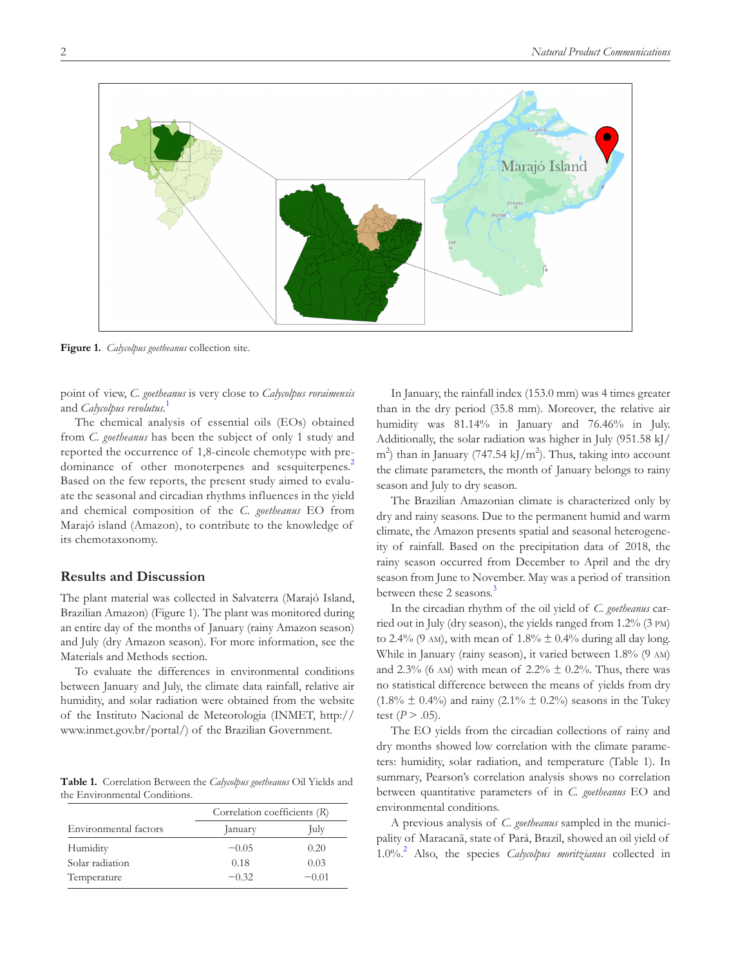

<span id="page-1-0"></span>**Figure 1.** *Calycolpus goetheanus* collection site.

point of view, *C. goetheanus* is very close to *Calycolpus roraimensis* and *Calycolpus revolutus*. [1](#page-8-0)

The chemical analysis of essential oils (EOs) obtained from *C. goetheanus* has been the subject of only 1 study and reported the occurrence of 1,8-cineole chemotype with pre-dominance of other monoterpenes and sesquiterpenes.<sup>[2](#page-8-1)</sup> Based on the few reports, the present study aimed to evaluate the seasonal and circadian rhythms influences in the yield and chemical composition of the *C. goetheanus* EO from Marajó island (Amazon), to contribute to the knowledge of its chemotaxonomy.

# **Results and Discussion**

The plant material was collected in Salvaterra (Marajó Island, Brazilian Amazon) ([Figure 1\)](#page-1-0). The plant was monitored during an entire day of the months of January (rainy Amazon season) and July (dry Amazon season). For more information, see the Materials and Methods section.

To evaluate the differences in environmental conditions between January and July, the climate data rainfall, relative air humidity, and solar radiation were obtained from the website of the Instituto Nacional de Meteorologia (INMET, [http://](http://www.inmet.gov.br/portal/) [www.inmet.gov.br/portal/\)](http://www.inmet.gov.br/portal/) of the Brazilian Government.

<span id="page-1-1"></span>**Table 1.** Correlation Between the *Calycolpus goetheanus* Oil Yields and the Environmental Conditions.

|                       | Correlation coefficients (R) |         |
|-----------------------|------------------------------|---------|
| Environmental factors | January                      | July    |
| Humidity              | $-0.05$                      | 0.20    |
| Solar radiation       | 0.18                         | 0.03    |
| Temperature           | $-0.32$                      | $-0.01$ |

In January, the rainfall index (153.0 mm) was 4 times greater than in the dry period (35.8 mm). Moreover, the relative air humidity was 81.14% in January and 76.46% in July. Additionally, the solar radiation was higher in July (951.58 kJ/  $\text{m}^2$ ) than in January (747.54 kJ/m<sup>2</sup>). Thus, taking into account the climate parameters, the month of January belongs to rainy season and July to dry season.

The Brazilian Amazonian climate is characterized only by dry and rainy seasons. Due to the permanent humid and warm climate, the Amazon presents spatial and seasonal heterogeneity of rainfall. Based on the precipitation data of 2018, the rainy season occurred from December to April and the dry season from June to November. May was a period of transition between these 2 seasons.<sup>[3](#page-8-2)</sup>

In the circadian rhythm of the oil yield of *C. goetheanus* carried out in July (dry season), the yields ranged from 1.2% (3 pm) to 2.4% (9 AM), with mean of  $1.8\% \pm 0.4\%$  during all day long. While in January (rainy season), it varied between 1.8% (9 am) and 2.3% (6 AM) with mean of 2.2%  $\pm$  0.2%. Thus, there was no statistical difference between the means of yields from dry  $(1.8\% \pm 0.4\%)$  and rainy  $(2.1\% \pm 0.2\%)$  seasons in the Tukey test  $(P > .05)$ .

The EO yields from the circadian collections of rainy and dry months showed low correlation with the climate parameters: humidity, solar radiation, and temperature [\(Table 1](#page-1-1)). In summary, Pearson's correlation analysis shows no correlation between quantitative parameters of in *C. goetheanus* EO and environmental conditions.

A previous analysis of *C. goetheanus* sampled in the municipality of Maracanã, state of Pará, Brazil, showed an oil yield of 1.0%.[2](#page-8-1) Also, the species *Calycolpus moritzianus* collected in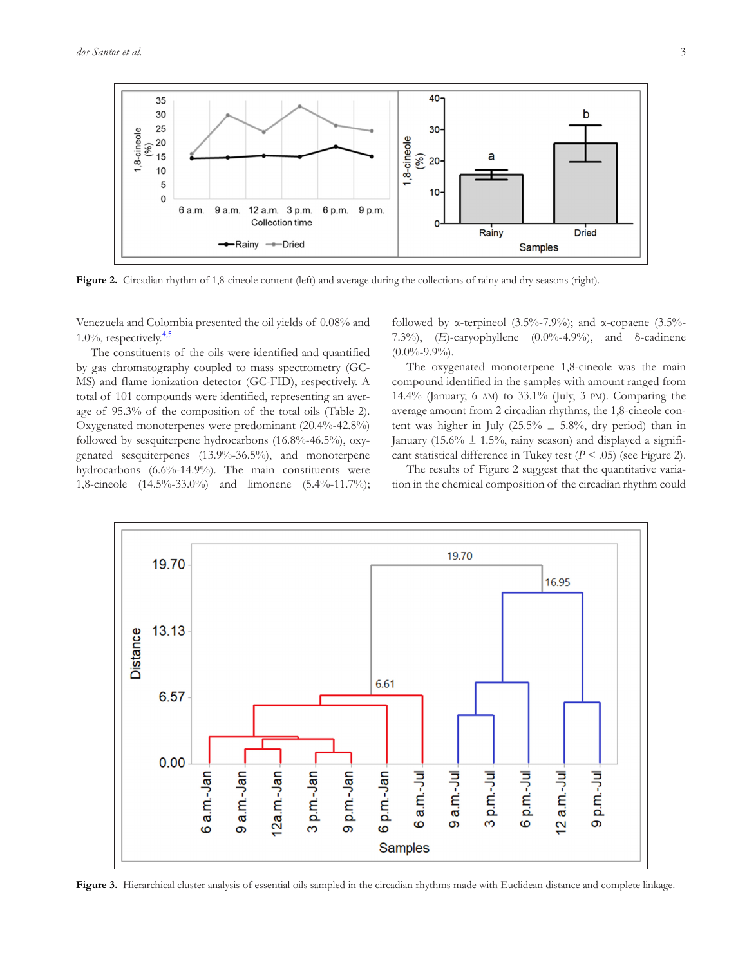

<span id="page-2-0"></span>Figure 2. Circadian rhythm of 1,8-cineole content (left) and average during the collections of rainy and dry seasons (right).

Venezuela and Colombia presented the oil yields of 0.08% and  $1.0\%$ , respectively.<sup>[4,5](#page-8-3)</sup>

The constituents of the oils were identified and quantified by gas chromatography coupled to mass spectrometry (GC-MS) and flame ionization detector (GC-FID), respectively. A total of 101 compounds were identified, representing an average of 95.3% of the composition of the total oils ([Table 2](#page-3-0)). Oxygenated monoterpenes were predominant (20.4%-42.8%) followed by sesquiterpene hydrocarbons (16.8%-46.5%), oxygenated sesquiterpenes (13.9%-36.5%), and monoterpene hydrocarbons (6.6%-14.9%). The main constituents were 1,8-cineole (14.5%-33.0%) and limonene (5.4%-11.7%); followed by α-terpineol (3.5%-7.9%); and α-copaene (3.5%-7.3%), (*E*)-caryophyllene (0.0%-4.9%), and δ-cadinene  $(0.0\% - 9.9\%).$ 

The oxygenated monoterpene 1,8-cineole was the main compound identified in the samples with amount ranged from 14.4% (January, 6 am) to 33.1% (July, 3 pm). Comparing the average amount from 2 circadian rhythms, the 1,8-cineole content was higher in July (25.5%  $\pm$  5.8%, dry period) than in January (15.6%  $\pm$  1.5%, rainy season) and displayed a significant statistical difference in Tukey test (*P* < .05) (see [Figure 2](#page-2-0)).

The results of [Figure 2](#page-2-0) suggest that the quantitative variation in the chemical composition of the circadian rhythm could



<span id="page-2-1"></span>Figure 3. Hierarchical cluster analysis of essential oils sampled in the circadian rhythms made with Euclidean distance and complete linkage.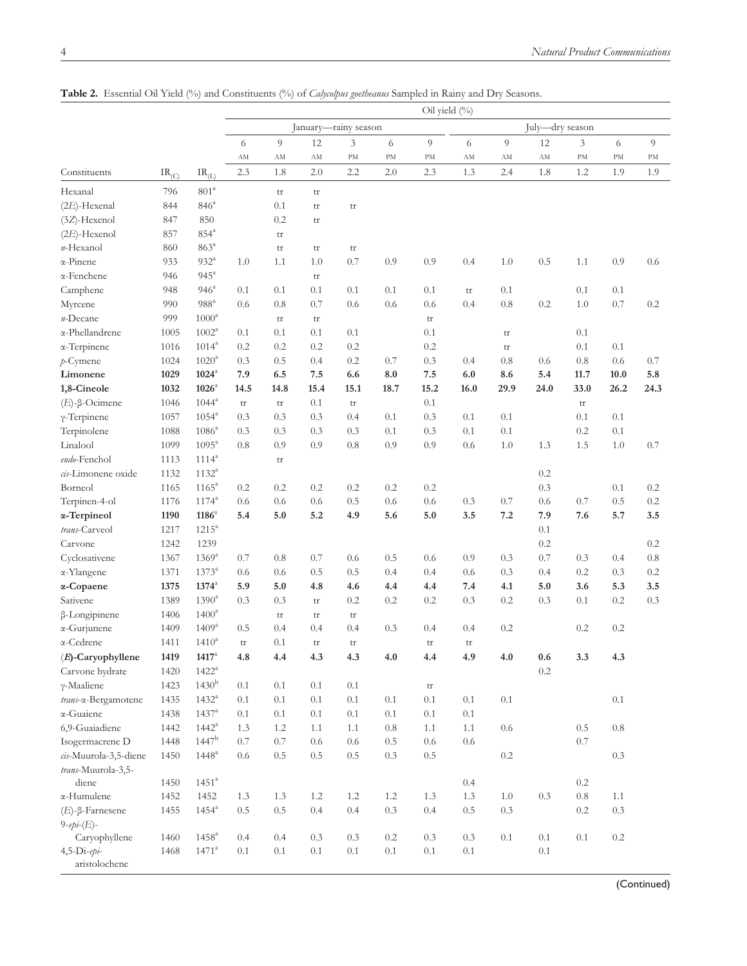|                                    |            | Oil yield (%)            |                                         |                        |         |           |         |                        |                        |           |         |           |         |              |
|------------------------------------|------------|--------------------------|-----------------------------------------|------------------------|---------|-----------|---------|------------------------|------------------------|-----------|---------|-----------|---------|--------------|
|                                    |            |                          | July-dry season<br>January-rainy season |                        |         |           |         |                        |                        |           |         |           |         |              |
|                                    |            |                          | 6                                       | 9                      | 12      | 3         | 6       | 9                      | 6                      | 9         | 12      | 3         | 6       | $\mathbf{Q}$ |
|                                    |            |                          | AM                                      | AM                     | AM      | PM        | PM      | PM                     | $\mathbf{A}\mathbf{M}$ | AM        | AM      | PM        | PM      | PM           |
| Constituents                       | $IR_{(C)}$ | $\text{IR}_{\text{(L)}}$ | 2.3                                     | 1.8                    | 2.0     | 2.2       | 2.0     | 2.3                    | 1.3                    | 2.4       | 1.8     | 1.2       | 1.9     | 1.9          |
| Hexanal                            | 796        | 801 <sup>a</sup>         |                                         | tr                     | tr      |           |         |                        |                        |           |         |           |         |              |
| $(2E)$ -Hexenal                    | 844        | 846 <sup>a</sup>         |                                         | 0.1                    | tr      | tr        |         |                        |                        |           |         |           |         |              |
| $(3Z)$ -Hexenol                    | 847        | 850                      |                                         | 0.2                    | tr      |           |         |                        |                        |           |         |           |         |              |
| $(2E)$ -Hexenol                    | 857        | $854^a$                  |                                         | $\mathop{\mathrm{tr}}$ |         |           |         |                        |                        |           |         |           |         |              |
| n-Hexanol                          | 860        | 863 <sup>a</sup>         |                                         | $\mathop{\mathrm{tr}}$ | tr      | tr        |         |                        |                        |           |         |           |         |              |
| α-Pinene                           | 933        | $932^{\circ}$            | 1.0                                     | 1.1                    | 1.0     | 0.7       | 0.9     | 0.9                    | 0.4                    | 1.0       | 0.5     | 1.1       | 0.9     | 0.6          |
| α-Fenchene                         | 946        | $945^{\mathrm{a}}$       |                                         |                        | tr      |           |         |                        |                        |           |         |           |         |              |
| Camphene                           | 948        | 946 <sup>a</sup>         | 0.1                                     | 0.1                    | 0.1     | 0.1       | 0.1     | 0.1                    | tr                     | 0.1       |         | 0.1       | 0.1     |              |
| Myrcene                            | 990        | $988^{\mathrm{a}}$       | 0.6                                     | 0.8                    | 0.7     | 0.6       | 0.6     | 0.6                    | 0.4                    | $0.8\,$   | 0.2     | 1.0       | 0.7     | 0.2          |
| n-Decane                           | 999        | $1000^a$                 |                                         | tr                     | tr      |           |         | tr                     |                        |           |         |           |         |              |
| α-Phellandrene                     | 1005       | $1002^a$                 | 0.1                                     | 0.1                    | 0.1     | 0.1       |         | 0.1                    |                        | tr        |         | 0.1       |         |              |
| α-Terpinene                        | 1016       | $1014^a$                 | 0.2                                     | 0.2                    | 0.2     | 0.2       |         | 0.2                    |                        |           |         | 0.1       | 0.1     |              |
| $p$ -Cymene                        | 1024       | 1020 <sup>a</sup>        | 0.3                                     | 0.5                    | 0.4     | 0.2       | 0.7     | 0.3                    | 0.4                    | tr<br>0.8 | 0.6     | 0.8       | 0.6     | 0.7          |
| Limonene                           | 1029       | $1024$ <sup>a</sup>      | 7.9                                     | 6.5                    | 7.5     | 6.6       | 8.0     | 7.5                    | 6.0                    | 8.6       | 5.4     | 11.7      | 10.0    | 5.8          |
| 1,8-Cineole                        | 1032       | $1026^{\mathrm{a}}$      | 14.5                                    | 14.8                   | 15.4    | 15.1      | 18.7    | 15.2                   | 16.0                   | 29.9      | 24.0    | 33.0      | 26.2    | 24.3         |
| $(E)$ -β-Ocimene                   | 1046       | $1044^a$                 |                                         |                        | 0.1     |           |         | 0.1                    |                        |           |         |           |         |              |
| $\gamma$ -Terpinene                | 1057       | $1054^{\circ}$           | tr<br>0.3                               | tr<br>0.3              | 0.3     | tr<br>0.4 | 0.1     | 0.3                    | 0.1                    | 0.1       |         | tr<br>0.1 | 0.1     |              |
| Terpinolene                        | 1088       | 1086 <sup>a</sup>        | 0.3                                     | 0.3                    | 0.3     | 0.3       | 0.1     | 0.3                    | 0.1                    | 0.1       |         | 0.2       | 0.1     |              |
| Linalool                           | 1099       | $1095^a$                 | 0.8                                     | 0.9                    | 0.9     | 0.8       | 0.9     | 0.9                    | 0.6                    | 1.0       | 1.3     | 1.5       | 1.0     | 0.7          |
| endo-Fenchol                       | 1113       | $1114^a$                 |                                         |                        |         |           |         |                        |                        |           |         |           |         |              |
|                                    |            | $1132^{a}$               |                                         | tr                     |         |           |         |                        |                        |           |         |           |         |              |
| <i>cis</i> -Limonene oxide         | 1132       | $1165^{\rm a}$           |                                         |                        | 0.2     |           |         |                        |                        |           | 0.2     |           |         |              |
| Borneol                            | 1165       |                          | 0.2                                     | 0.2                    |         | 0.2       | 0.2     | 0.2                    |                        |           | 0.3     |           | 0.1     | 0.2          |
| Terpinen-4-ol                      | 1176       | $1174^a$                 | 0.6                                     | 0.6                    | 0.6     | 0.5       | 0.6     | 0.6                    | 0.3                    | 0.7       | 0.6     | 0.7       | 0.5     | 0.2          |
| a-Terpineol                        | 1190       | $1186^{\circ}$           | 5.4                                     | 5.0                    | 5.2     | 4.9       | 5.6     | 5.0                    | 3.5                    | 7.2       | 7.9     | 7.6       | 5.7     | 3.5          |
| trans-Carveol                      | 1217       | $1215^a$                 |                                         |                        |         |           |         |                        |                        |           | 0.1     |           |         |              |
| Carvone                            | 1242       | 1239                     |                                         |                        |         |           |         |                        |                        |           | 0.2     |           |         | 0.2          |
| Cyclosativene                      | 1367       | $1369^{a}$               | 0.7                                     | 0.8                    | 0.7     | 0.6       | 0.5     | 0.6                    | 0.9                    | 0.3       | 0.7     | 0.3       | 0.4     | 0.8          |
| α-Ylangene                         | 1371       | $1373^a$                 | 0.6                                     | 0.6                    | 0.5     | 0.5       | 0.4     | 0.4                    | 0.6                    | 0.3       | 0.4     | 0.2       | 0.3     | 0.2          |
| a-Copaene                          | 1375       | $1374^{\circ}$           | 5.9                                     | 5.0                    | 4.8     | 4.6       | 4.4     | 4.4                    | 7.4                    | 4.1       | 5.0     | 3.6       | 5.3     | 3.5          |
| Sativene                           | 1389       | 1390 <sup>a</sup>        | 0.3                                     | 0.3                    | tr      | 0.2       | 0.2     | 0.2                    | 0.3                    | 0.2       | 0.3     | 0.1       | 0.2     | 0.3          |
| β-Longipinene                      | 1406       | $1400^a$                 |                                         | tr                     | tr      | tr        |         |                        |                        |           |         |           |         |              |
| α-Gurjunene                        | 1409       | $1409^{\rm a}$           | 0.5                                     | 0.4                    | 0.4     | 0.4       | 0.3     | 0.4                    | 0.4                    | 0.2       |         | 0.2       | 0.2     |              |
| α-Cedrene                          | 1411       | $1410^{a}$               | tr                                      | 0.1                    | tr      | tr        |         | tr                     | tr                     |           |         |           |         |              |
| $(E)$ -Caryophyllene               | 1419       | $1417$ <sup>a</sup>      | 4.8                                     | 4.4                    | 4.3     | 4.3       | $4.0\,$ | 4.4                    | 4.9                    | 4.0       | $0.6\,$ | 3.3       | 4.3     |              |
| Carvone hydrate                    | 1420       | $1422^a$                 |                                         |                        |         |           |         |                        |                        |           | 0.2     |           |         |              |
| γ-Maaliene                         | 1423       | 1430 <sup>b</sup>        | 0.1                                     | 0.1                    | $0.1\,$ | 0.1       |         | $\mathop{\mathrm{tr}}$ |                        |           |         |           |         |              |
| trans-a-Bergamotene                | 1435       | $1432^a$                 | 0.1                                     | $0.1\,$                | $0.1\,$ | 0.1       | 0.1     | 0.1                    | $0.1\,$                | $0.1\,$   |         |           | $0.1\,$ |              |
| α-Guaiene                          | 1438       | $1437^{\rm a}$           | 0.1                                     | 0.1                    | 0.1     | $0.1\,$   | 0.1     | $0.1\,$                | $0.1\,$                |           |         |           |         |              |
| 6,9-Guaiadiene                     | 1442       | $1442^a$                 | 1.3                                     | 1.2                    | 1.1     | 1.1       | 0.8     | 1.1                    | $1.1\,$                | 0.6       |         | 0.5       | $0.8\,$ |              |
| Isogermacrene D                    | 1448       | $1447^{\rm b}$           | $0.7\,$                                 | 0.7                    | 0.6     | 0.6       | 0.5     | 0.6                    | $0.6\,$                |           |         | $0.7\,$   |         |              |
| cis-Muurola-3,5-diene              | 1450       | $1448^{\rm a}$           | 0.6                                     | 0.5                    | $0.5\,$ | 0.5       | 0.3     | 0.5                    |                        | 0.2       |         |           | 0.3     |              |
| trans-Muurola-3,5-<br>diene        |            |                          |                                         |                        |         |           |         |                        |                        |           |         |           |         |              |
|                                    | 1450       | $1451^a$                 |                                         |                        |         |           |         |                        | 0.4                    |           |         | 0.2       |         |              |
| α-Humulene                         | 1452       | 1452                     | 1.3                                     | 1.3                    | 1.2     | 1.2       | 1.2     | 1.3                    | 1.3                    | $1.0\,$   | 0.3     | $0.8\,$   | $1.1\,$ |              |
| $(E)$ -β-Farnesene                 | 1455       | $1454^{\circ}$           | 0.5                                     | 0.5                    | 0.4     | 0.4       | 0.3     | 0.4                    | $0.5\,$                | 0.3       |         | 0.2       | $0.3\,$ |              |
| $9$ -epi- $(E)$ -<br>Caryophyllene | 1460       | $1458^{\rm a}$           | 0.4                                     | 0.4                    | 0.3     | 0.3       | 0.2     | 0.3                    | 0.3                    | $0.1\,$   | $0.1\,$ | $0.1\,$   | $0.2\,$ |              |
| 4,5-Di-epi-                        | 1468       | $1471^{\rm a}$           | 0.1                                     | 0.1                    | 0.1     | 0.1       | 0.1     | 0.1                    | $0.1\,$                |           | $0.1\,$ |           |         |              |
| aristolochene                      |            |                          |                                         |                        |         |           |         |                        |                        |           |         |           |         |              |

<span id="page-3-0"></span>**Table 2.** Essential Oil Yield (%) and Constituents (%) of *Calycolpus goetheanus* Sampled in Rainy and Dry Seasons.

(Continued)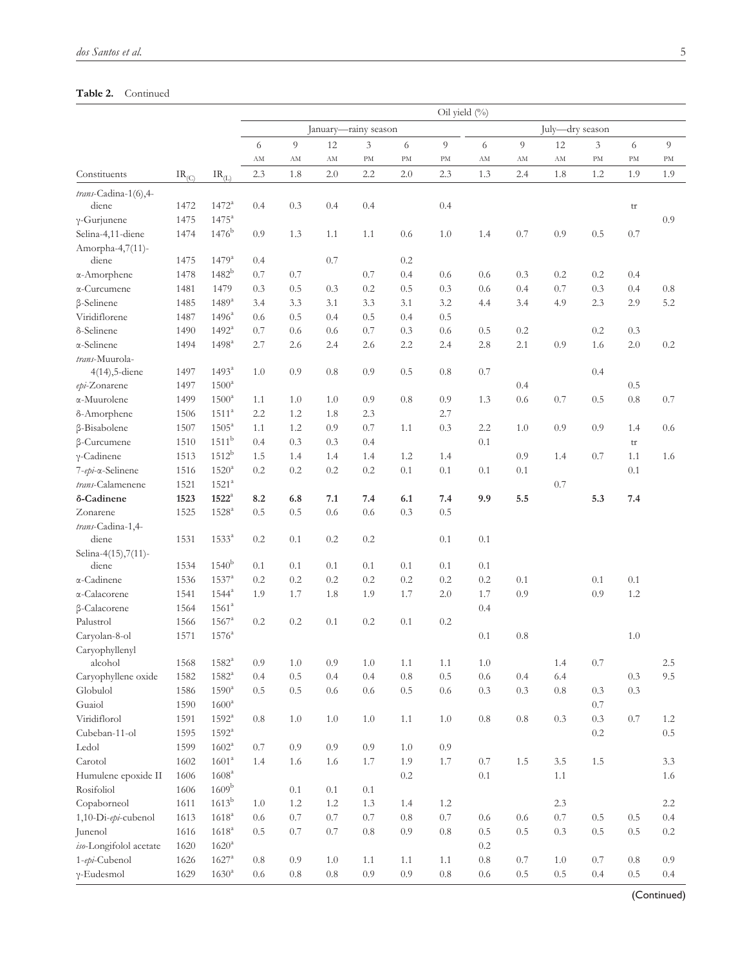## **Table 2.** Continued

| January-rainy season<br>July-dry season<br>$\overline{Q}$<br>12<br>9<br>6<br>9<br>12<br>9<br>6<br>3<br>6<br>3<br>6<br>$\mathbf{A}\mathbf{M}$<br>$\Lambda \mathrm{M}$<br>$\Lambda \mathrm{M}$<br>PM<br>$\mathrm{PM}$<br>PM<br>$\mathbf{A}\mathbf{M}$<br>$\Lambda \rm M$<br>$\mathrm{PM}$<br>PM<br>AM<br>PM<br>2.0<br>1.2<br>2.3<br>1.8<br>2.0<br>2.2<br>2.3<br>1.3<br>2.4<br>1.8<br>1.9<br>1.9<br>$IR_{(C)}$<br>$\text{IR}_{(\text{L})}$<br>trans-Cadina-1(6),4-<br>$1472^a$<br>1472<br>0.4<br>0.3<br>0.4<br>0.4<br>0.4<br>diene<br>tr<br>1475<br>$1475^{\rm a}$<br>0.9<br>$\gamma$ -Gurjunene<br>$1476^{\rm b}$<br>Selina-4,11-diene<br>1474<br>0.9<br>0.6<br>1.0<br>0.7<br>0.9<br>0.5<br>0.7<br>1.3<br>1.1<br>1.1<br>1.4<br>Amorpha-4,7(11)-<br>$1479^{\rm a}$<br>1475<br>0.7<br>0.2<br>diene<br>0.4<br>$1482^{\rm b}$<br>1478<br>0.7<br>0.7<br>0.7<br>0.4<br>0.6<br>0.6<br>0.3<br>0.2<br>0.2<br>0.4<br>0.3<br>0.3<br>0.3<br>$0.8\,$<br>1481<br>1479<br>0.3<br>0.5<br>0.2<br>0.5<br>0.6<br>0.4<br>0.7<br>0.4<br>$1489^{a}$<br>3.2<br>2.9<br>5.2<br>1485<br>3.3<br>3.1<br>3.3<br>3.1<br>3.4<br>4.9<br>2.3<br>3.4<br>4.4<br>$1496^{\rm a}$<br>0.5<br>0.5<br>1487<br>0.4<br>0.5<br>0.4<br>0.6<br>$1492^a$<br>0.2<br>1490<br>0.7<br>0.6<br>0.6<br>0.7<br>0.3<br>0.6<br>0.5<br>0.2<br>0.3<br>$1498^{\rm a}$<br>2.8<br>0.9<br>$2.0\,$<br>1494<br>2.7<br>2.6<br>2.4<br>2.2<br>2.4<br>2.1<br>1.6<br>0.2<br>2.6<br>$1493^a$<br>4(14), 5-diene<br>1497<br>1.0<br>0.9<br>0.8<br>0.9<br>0.5<br>0.8<br>0.7<br>0.4<br>$1500^a$<br>1497<br>0.4<br>0.5<br>0.6<br>0.8<br>1499<br>$1500^a$<br>1.0<br>1.0<br>0.9<br>0.8<br>0.9<br>1.3<br>0.7<br>0.5<br>0.7<br>1.1<br>$1511^a$<br>1506<br>2.2<br>1.2<br>1.8<br>2.3<br>2.7<br>$1505^a$<br>$0.7\,$<br>1507<br>1.2<br>0.9<br>1.1<br>0.3<br>2.2<br>1.0<br>0.9<br>0.9<br>1.4<br>1.1<br>0.6<br>1511 <sup>b</sup><br>0.3<br>1510<br>0.4<br>0.3<br>0.4<br>0.1<br>tr<br>$1512^b$<br>1513<br>1.4<br>1.2<br>0.9<br>0.7<br>1.1<br>1.5<br>1.4<br>1.4<br>1.4<br>1.4<br>1.6<br>$1520^{\rm a}$<br>1516<br>0.2<br>0.2<br>0.2<br>0.2<br>0.1<br>0.1<br>0.1<br>0.1<br>0.1<br>$1521^a$<br>1521<br>0.7<br>9.9<br>5.3<br>1523<br>$1522^{\circ}$<br>8.2<br>6.8<br>7.1<br>7.4<br>6.1<br>7.4<br>5.5<br>7.4<br>1525<br>$1528^{a}$<br>0.5<br>0.5<br>0.6<br>0.6<br>0.3<br>0.5<br>$1533^a$<br>diene<br>0.2<br>0.1<br>0.2<br>0.2<br>0.1<br>0.1<br>1531<br>Selina-4(15),7(11)-<br>1540 <sup>b</sup><br>diene<br>1534<br>0.1<br>0.1<br>0.1<br>0.1<br>0.1<br>0.1<br>0.1<br>$1537^{\rm a}$<br>α-Cadinene<br>1536<br>0.2<br>0.2<br>0.2<br>0.2<br>0.2<br>0.2<br>0.2<br>0.1<br>0.1<br>0.1<br>0.9<br>0.9<br>α-Calacorene<br>1541<br>$1544^a$<br>1.9<br>1.7<br>1.8<br>1.9<br>1.7<br>2.0<br>1.7<br>1.2<br>β-Calacorene<br>1564<br>$1561^a$<br>0.4<br>$1567^{\rm a}$<br>0.2<br>Palustrol<br>1566<br>0.2<br>0.2<br>0.1<br>0.2<br>0.1<br>Caryolan-8-ol<br>1571<br>$1576^{\circ}$<br>0.1<br>0.8<br>1.0<br>Caryophyllenyl<br>$1582^{\rm a}$<br>$1.0\,$<br>0.9<br>$1.0\,$<br>1.4<br>0.7<br>2.5<br>alcohol<br>1568<br>0.9<br>1.1<br>1.1<br>$1.0\,$<br>$1582^{a}$<br>0.5<br>0.4<br>0.4<br>$0.8\,$<br>0.5<br>0.6<br>0.4<br>6.4<br>0.3<br>9.5<br>Caryophyllene oxide<br>1582<br>0.4<br>$1590^a$<br>Globulol<br>1586<br>0.5<br>$0.5\,$<br>0.6<br>0.3<br>0.3<br>$0.8\,$<br>0.3<br>0.3<br>0.5<br>0.6<br>0.6<br>Guaiol<br>1590<br>$1600^a$<br>0.7<br>Viridiflorol<br>0.3<br>1591<br>$1592^{\mathrm{a}}$<br>0.8<br>1.0<br>1.0<br>1.0<br>1.1<br>$1.0\,$<br>0.8<br>0.8<br>0.3<br>0.7<br>1.2<br>$1592^{\mathrm{a}}$<br>$0.5\,$<br>Cubeban-11-ol<br>1595<br>$0.2\,$<br>Ledol<br>1599<br>$1602^{\rm a}$<br>0.9<br>0.9<br>$0.9\,$<br>0.7<br>1.0<br>0.9<br>Carotol<br>1601 <sup>a</sup><br>1.7<br>1.5<br>1602<br>1.4<br>1.6<br>1.6<br>1.7<br>1.9<br>$0.7\,$<br>1.5<br>$3.5\,$<br>3.3<br>1608 <sup>a</sup><br>Humulene epoxide II<br>1606<br>$0.2\,$<br>$0.1\,$<br>1.1<br>1.6<br>1609 <sup>b</sup><br>Rosifoliol<br>1606<br>0.1<br>0.1<br>0.1<br>$1613^b$<br>Copaborneol<br>1611<br>1.2<br>1.2<br>1.3<br>1.4<br>1.2<br>2.3<br>2.2<br>1.0<br>$1618^{\rm a}$<br>$0.7\,$<br>0.7<br>1,10-Di-epi-cubenol<br>1613<br>0.7<br>0.7<br>0.7<br>0.8<br>0.6<br>0.5<br>0.5<br>0.4<br>0.6<br>0.6<br>$1618^{\rm a}$<br>0.5<br>$0.5\,$<br>Junenol<br>1616<br>0.5<br>0.7<br>0.7<br>$0.8\,$<br>0.9<br>0.8<br>$0.5\,$<br>0.5<br>0.3<br>0.2<br>iso-Longifolol acetate<br>1620 <sup>a</sup><br>1620<br>0.2<br>1-epi-Cubenol<br>1626<br>$1627^{\rm a}$<br>0.9<br>1.0<br>1.1<br>$1.1\,$<br>$0.8\,$<br>$0.7\,$<br>0.8<br>0.9<br>0.8<br>1.1<br>0.7<br>1.0<br>$0.9\,$<br>$0.5\,$<br>1629<br>$1630^{\rm a}$<br>0.8<br>$0.8\,$<br>$0.9\,$<br>$0.8\,$<br>0.5<br>0.4<br>0.4<br>0.6<br>0.6<br>0.5 |                    |  | Oil yield (%) |  |  |  |  |  |  |  |  |  |  |  |
|--------------------------------------------------------------------------------------------------------------------------------------------------------------------------------------------------------------------------------------------------------------------------------------------------------------------------------------------------------------------------------------------------------------------------------------------------------------------------------------------------------------------------------------------------------------------------------------------------------------------------------------------------------------------------------------------------------------------------------------------------------------------------------------------------------------------------------------------------------------------------------------------------------------------------------------------------------------------------------------------------------------------------------------------------------------------------------------------------------------------------------------------------------------------------------------------------------------------------------------------------------------------------------------------------------------------------------------------------------------------------------------------------------------------------------------------------------------------------------------------------------------------------------------------------------------------------------------------------------------------------------------------------------------------------------------------------------------------------------------------------------------------------------------------------------------------------------------------------------------------------------------------------------------------------------------------------------------------------------------------------------------------------------------------------------------------------------------------------------------------------------------------------------------------------------------------------------------------------------------------------------------------------------------------------------------------------------------------------------------------------------------------------------------------------------------------------------------------------------------------------------------------------------------------------------------------------------------------------------------------------------------------------------------------------------------------------------------------------------------------------------------------------------------------------------------------------------------------------------------------------------------------------------------------------------------------------------------------------------------------------------------------------------------------------------------------------------------------------------------------------------------------------------------------------------------------------------------------------------------------------------------------------------------------------------------------------------------------------------------------------------------------------------------------------------------------------------------------------------------------------------------------------------------------------------------------------------------------------------------------------------------------------------------------------------------------------------------------------------------------------------------------------------------------------------------------------------------------------------------------------------------------------------------------------------------------------------------------------------------------------------------------------------------------------------------------------------------------------------------------------------------------------------------------------------------------------------------------------------------------------------------------------------------------------------------------------------------------------------------------------------------------------------------------------------------------------------------------------------------------------------------------------------------------------------------------------------------------------------------------------------|--------------------|--|---------------|--|--|--|--|--|--|--|--|--|--|--|
|                                                                                                                                                                                                                                                                                                                                                                                                                                                                                                                                                                                                                                                                                                                                                                                                                                                                                                                                                                                                                                                                                                                                                                                                                                                                                                                                                                                                                                                                                                                                                                                                                                                                                                                                                                                                                                                                                                                                                                                                                                                                                                                                                                                                                                                                                                                                                                                                                                                                                                                                                                                                                                                                                                                                                                                                                                                                                                                                                                                                                                                                                                                                                                                                                                                                                                                                                                                                                                                                                                                                                                                                                                                                                                                                                                                                                                                                                                                                                                                                                                                                                                                                                                                                                                                                                                                                                                                                                                                                                                                                                                                                                                |                    |  |               |  |  |  |  |  |  |  |  |  |  |  |
|                                                                                                                                                                                                                                                                                                                                                                                                                                                                                                                                                                                                                                                                                                                                                                                                                                                                                                                                                                                                                                                                                                                                                                                                                                                                                                                                                                                                                                                                                                                                                                                                                                                                                                                                                                                                                                                                                                                                                                                                                                                                                                                                                                                                                                                                                                                                                                                                                                                                                                                                                                                                                                                                                                                                                                                                                                                                                                                                                                                                                                                                                                                                                                                                                                                                                                                                                                                                                                                                                                                                                                                                                                                                                                                                                                                                                                                                                                                                                                                                                                                                                                                                                                                                                                                                                                                                                                                                                                                                                                                                                                                                                                |                    |  |               |  |  |  |  |  |  |  |  |  |  |  |
|                                                                                                                                                                                                                                                                                                                                                                                                                                                                                                                                                                                                                                                                                                                                                                                                                                                                                                                                                                                                                                                                                                                                                                                                                                                                                                                                                                                                                                                                                                                                                                                                                                                                                                                                                                                                                                                                                                                                                                                                                                                                                                                                                                                                                                                                                                                                                                                                                                                                                                                                                                                                                                                                                                                                                                                                                                                                                                                                                                                                                                                                                                                                                                                                                                                                                                                                                                                                                                                                                                                                                                                                                                                                                                                                                                                                                                                                                                                                                                                                                                                                                                                                                                                                                                                                                                                                                                                                                                                                                                                                                                                                                                | Constituents       |  |               |  |  |  |  |  |  |  |  |  |  |  |
|                                                                                                                                                                                                                                                                                                                                                                                                                                                                                                                                                                                                                                                                                                                                                                                                                                                                                                                                                                                                                                                                                                                                                                                                                                                                                                                                                                                                                                                                                                                                                                                                                                                                                                                                                                                                                                                                                                                                                                                                                                                                                                                                                                                                                                                                                                                                                                                                                                                                                                                                                                                                                                                                                                                                                                                                                                                                                                                                                                                                                                                                                                                                                                                                                                                                                                                                                                                                                                                                                                                                                                                                                                                                                                                                                                                                                                                                                                                                                                                                                                                                                                                                                                                                                                                                                                                                                                                                                                                                                                                                                                                                                                |                    |  |               |  |  |  |  |  |  |  |  |  |  |  |
|                                                                                                                                                                                                                                                                                                                                                                                                                                                                                                                                                                                                                                                                                                                                                                                                                                                                                                                                                                                                                                                                                                                                                                                                                                                                                                                                                                                                                                                                                                                                                                                                                                                                                                                                                                                                                                                                                                                                                                                                                                                                                                                                                                                                                                                                                                                                                                                                                                                                                                                                                                                                                                                                                                                                                                                                                                                                                                                                                                                                                                                                                                                                                                                                                                                                                                                                                                                                                                                                                                                                                                                                                                                                                                                                                                                                                                                                                                                                                                                                                                                                                                                                                                                                                                                                                                                                                                                                                                                                                                                                                                                                                                |                    |  |               |  |  |  |  |  |  |  |  |  |  |  |
|                                                                                                                                                                                                                                                                                                                                                                                                                                                                                                                                                                                                                                                                                                                                                                                                                                                                                                                                                                                                                                                                                                                                                                                                                                                                                                                                                                                                                                                                                                                                                                                                                                                                                                                                                                                                                                                                                                                                                                                                                                                                                                                                                                                                                                                                                                                                                                                                                                                                                                                                                                                                                                                                                                                                                                                                                                                                                                                                                                                                                                                                                                                                                                                                                                                                                                                                                                                                                                                                                                                                                                                                                                                                                                                                                                                                                                                                                                                                                                                                                                                                                                                                                                                                                                                                                                                                                                                                                                                                                                                                                                                                                                |                    |  |               |  |  |  |  |  |  |  |  |  |  |  |
|                                                                                                                                                                                                                                                                                                                                                                                                                                                                                                                                                                                                                                                                                                                                                                                                                                                                                                                                                                                                                                                                                                                                                                                                                                                                                                                                                                                                                                                                                                                                                                                                                                                                                                                                                                                                                                                                                                                                                                                                                                                                                                                                                                                                                                                                                                                                                                                                                                                                                                                                                                                                                                                                                                                                                                                                                                                                                                                                                                                                                                                                                                                                                                                                                                                                                                                                                                                                                                                                                                                                                                                                                                                                                                                                                                                                                                                                                                                                                                                                                                                                                                                                                                                                                                                                                                                                                                                                                                                                                                                                                                                                                                |                    |  |               |  |  |  |  |  |  |  |  |  |  |  |
|                                                                                                                                                                                                                                                                                                                                                                                                                                                                                                                                                                                                                                                                                                                                                                                                                                                                                                                                                                                                                                                                                                                                                                                                                                                                                                                                                                                                                                                                                                                                                                                                                                                                                                                                                                                                                                                                                                                                                                                                                                                                                                                                                                                                                                                                                                                                                                                                                                                                                                                                                                                                                                                                                                                                                                                                                                                                                                                                                                                                                                                                                                                                                                                                                                                                                                                                                                                                                                                                                                                                                                                                                                                                                                                                                                                                                                                                                                                                                                                                                                                                                                                                                                                                                                                                                                                                                                                                                                                                                                                                                                                                                                |                    |  |               |  |  |  |  |  |  |  |  |  |  |  |
|                                                                                                                                                                                                                                                                                                                                                                                                                                                                                                                                                                                                                                                                                                                                                                                                                                                                                                                                                                                                                                                                                                                                                                                                                                                                                                                                                                                                                                                                                                                                                                                                                                                                                                                                                                                                                                                                                                                                                                                                                                                                                                                                                                                                                                                                                                                                                                                                                                                                                                                                                                                                                                                                                                                                                                                                                                                                                                                                                                                                                                                                                                                                                                                                                                                                                                                                                                                                                                                                                                                                                                                                                                                                                                                                                                                                                                                                                                                                                                                                                                                                                                                                                                                                                                                                                                                                                                                                                                                                                                                                                                                                                                |                    |  |               |  |  |  |  |  |  |  |  |  |  |  |
|                                                                                                                                                                                                                                                                                                                                                                                                                                                                                                                                                                                                                                                                                                                                                                                                                                                                                                                                                                                                                                                                                                                                                                                                                                                                                                                                                                                                                                                                                                                                                                                                                                                                                                                                                                                                                                                                                                                                                                                                                                                                                                                                                                                                                                                                                                                                                                                                                                                                                                                                                                                                                                                                                                                                                                                                                                                                                                                                                                                                                                                                                                                                                                                                                                                                                                                                                                                                                                                                                                                                                                                                                                                                                                                                                                                                                                                                                                                                                                                                                                                                                                                                                                                                                                                                                                                                                                                                                                                                                                                                                                                                                                | α-Amorphene        |  |               |  |  |  |  |  |  |  |  |  |  |  |
|                                                                                                                                                                                                                                                                                                                                                                                                                                                                                                                                                                                                                                                                                                                                                                                                                                                                                                                                                                                                                                                                                                                                                                                                                                                                                                                                                                                                                                                                                                                                                                                                                                                                                                                                                                                                                                                                                                                                                                                                                                                                                                                                                                                                                                                                                                                                                                                                                                                                                                                                                                                                                                                                                                                                                                                                                                                                                                                                                                                                                                                                                                                                                                                                                                                                                                                                                                                                                                                                                                                                                                                                                                                                                                                                                                                                                                                                                                                                                                                                                                                                                                                                                                                                                                                                                                                                                                                                                                                                                                                                                                                                                                | α-Curcumene        |  |               |  |  |  |  |  |  |  |  |  |  |  |
|                                                                                                                                                                                                                                                                                                                                                                                                                                                                                                                                                                                                                                                                                                                                                                                                                                                                                                                                                                                                                                                                                                                                                                                                                                                                                                                                                                                                                                                                                                                                                                                                                                                                                                                                                                                                                                                                                                                                                                                                                                                                                                                                                                                                                                                                                                                                                                                                                                                                                                                                                                                                                                                                                                                                                                                                                                                                                                                                                                                                                                                                                                                                                                                                                                                                                                                                                                                                                                                                                                                                                                                                                                                                                                                                                                                                                                                                                                                                                                                                                                                                                                                                                                                                                                                                                                                                                                                                                                                                                                                                                                                                                                | β-Selinene         |  |               |  |  |  |  |  |  |  |  |  |  |  |
|                                                                                                                                                                                                                                                                                                                                                                                                                                                                                                                                                                                                                                                                                                                                                                                                                                                                                                                                                                                                                                                                                                                                                                                                                                                                                                                                                                                                                                                                                                                                                                                                                                                                                                                                                                                                                                                                                                                                                                                                                                                                                                                                                                                                                                                                                                                                                                                                                                                                                                                                                                                                                                                                                                                                                                                                                                                                                                                                                                                                                                                                                                                                                                                                                                                                                                                                                                                                                                                                                                                                                                                                                                                                                                                                                                                                                                                                                                                                                                                                                                                                                                                                                                                                                                                                                                                                                                                                                                                                                                                                                                                                                                | Viridiflorene      |  |               |  |  |  |  |  |  |  |  |  |  |  |
|                                                                                                                                                                                                                                                                                                                                                                                                                                                                                                                                                                                                                                                                                                                                                                                                                                                                                                                                                                                                                                                                                                                                                                                                                                                                                                                                                                                                                                                                                                                                                                                                                                                                                                                                                                                                                                                                                                                                                                                                                                                                                                                                                                                                                                                                                                                                                                                                                                                                                                                                                                                                                                                                                                                                                                                                                                                                                                                                                                                                                                                                                                                                                                                                                                                                                                                                                                                                                                                                                                                                                                                                                                                                                                                                                                                                                                                                                                                                                                                                                                                                                                                                                                                                                                                                                                                                                                                                                                                                                                                                                                                                                                | δ-Selinene         |  |               |  |  |  |  |  |  |  |  |  |  |  |
|                                                                                                                                                                                                                                                                                                                                                                                                                                                                                                                                                                                                                                                                                                                                                                                                                                                                                                                                                                                                                                                                                                                                                                                                                                                                                                                                                                                                                                                                                                                                                                                                                                                                                                                                                                                                                                                                                                                                                                                                                                                                                                                                                                                                                                                                                                                                                                                                                                                                                                                                                                                                                                                                                                                                                                                                                                                                                                                                                                                                                                                                                                                                                                                                                                                                                                                                                                                                                                                                                                                                                                                                                                                                                                                                                                                                                                                                                                                                                                                                                                                                                                                                                                                                                                                                                                                                                                                                                                                                                                                                                                                                                                | α-Selinene         |  |               |  |  |  |  |  |  |  |  |  |  |  |
|                                                                                                                                                                                                                                                                                                                                                                                                                                                                                                                                                                                                                                                                                                                                                                                                                                                                                                                                                                                                                                                                                                                                                                                                                                                                                                                                                                                                                                                                                                                                                                                                                                                                                                                                                                                                                                                                                                                                                                                                                                                                                                                                                                                                                                                                                                                                                                                                                                                                                                                                                                                                                                                                                                                                                                                                                                                                                                                                                                                                                                                                                                                                                                                                                                                                                                                                                                                                                                                                                                                                                                                                                                                                                                                                                                                                                                                                                                                                                                                                                                                                                                                                                                                                                                                                                                                                                                                                                                                                                                                                                                                                                                | trans-Muurola-     |  |               |  |  |  |  |  |  |  |  |  |  |  |
|                                                                                                                                                                                                                                                                                                                                                                                                                                                                                                                                                                                                                                                                                                                                                                                                                                                                                                                                                                                                                                                                                                                                                                                                                                                                                                                                                                                                                                                                                                                                                                                                                                                                                                                                                                                                                                                                                                                                                                                                                                                                                                                                                                                                                                                                                                                                                                                                                                                                                                                                                                                                                                                                                                                                                                                                                                                                                                                                                                                                                                                                                                                                                                                                                                                                                                                                                                                                                                                                                                                                                                                                                                                                                                                                                                                                                                                                                                                                                                                                                                                                                                                                                                                                                                                                                                                                                                                                                                                                                                                                                                                                                                |                    |  |               |  |  |  |  |  |  |  |  |  |  |  |
|                                                                                                                                                                                                                                                                                                                                                                                                                                                                                                                                                                                                                                                                                                                                                                                                                                                                                                                                                                                                                                                                                                                                                                                                                                                                                                                                                                                                                                                                                                                                                                                                                                                                                                                                                                                                                                                                                                                                                                                                                                                                                                                                                                                                                                                                                                                                                                                                                                                                                                                                                                                                                                                                                                                                                                                                                                                                                                                                                                                                                                                                                                                                                                                                                                                                                                                                                                                                                                                                                                                                                                                                                                                                                                                                                                                                                                                                                                                                                                                                                                                                                                                                                                                                                                                                                                                                                                                                                                                                                                                                                                                                                                | epi-Zonarene       |  |               |  |  |  |  |  |  |  |  |  |  |  |
|                                                                                                                                                                                                                                                                                                                                                                                                                                                                                                                                                                                                                                                                                                                                                                                                                                                                                                                                                                                                                                                                                                                                                                                                                                                                                                                                                                                                                                                                                                                                                                                                                                                                                                                                                                                                                                                                                                                                                                                                                                                                                                                                                                                                                                                                                                                                                                                                                                                                                                                                                                                                                                                                                                                                                                                                                                                                                                                                                                                                                                                                                                                                                                                                                                                                                                                                                                                                                                                                                                                                                                                                                                                                                                                                                                                                                                                                                                                                                                                                                                                                                                                                                                                                                                                                                                                                                                                                                                                                                                                                                                                                                                | α-Muurolene        |  |               |  |  |  |  |  |  |  |  |  |  |  |
|                                                                                                                                                                                                                                                                                                                                                                                                                                                                                                                                                                                                                                                                                                                                                                                                                                                                                                                                                                                                                                                                                                                                                                                                                                                                                                                                                                                                                                                                                                                                                                                                                                                                                                                                                                                                                                                                                                                                                                                                                                                                                                                                                                                                                                                                                                                                                                                                                                                                                                                                                                                                                                                                                                                                                                                                                                                                                                                                                                                                                                                                                                                                                                                                                                                                                                                                                                                                                                                                                                                                                                                                                                                                                                                                                                                                                                                                                                                                                                                                                                                                                                                                                                                                                                                                                                                                                                                                                                                                                                                                                                                                                                | δ-Amorphene        |  |               |  |  |  |  |  |  |  |  |  |  |  |
|                                                                                                                                                                                                                                                                                                                                                                                                                                                                                                                                                                                                                                                                                                                                                                                                                                                                                                                                                                                                                                                                                                                                                                                                                                                                                                                                                                                                                                                                                                                                                                                                                                                                                                                                                                                                                                                                                                                                                                                                                                                                                                                                                                                                                                                                                                                                                                                                                                                                                                                                                                                                                                                                                                                                                                                                                                                                                                                                                                                                                                                                                                                                                                                                                                                                                                                                                                                                                                                                                                                                                                                                                                                                                                                                                                                                                                                                                                                                                                                                                                                                                                                                                                                                                                                                                                                                                                                                                                                                                                                                                                                                                                | β-Bisabolene       |  |               |  |  |  |  |  |  |  |  |  |  |  |
|                                                                                                                                                                                                                                                                                                                                                                                                                                                                                                                                                                                                                                                                                                                                                                                                                                                                                                                                                                                                                                                                                                                                                                                                                                                                                                                                                                                                                                                                                                                                                                                                                                                                                                                                                                                                                                                                                                                                                                                                                                                                                                                                                                                                                                                                                                                                                                                                                                                                                                                                                                                                                                                                                                                                                                                                                                                                                                                                                                                                                                                                                                                                                                                                                                                                                                                                                                                                                                                                                                                                                                                                                                                                                                                                                                                                                                                                                                                                                                                                                                                                                                                                                                                                                                                                                                                                                                                                                                                                                                                                                                                                                                | β-Curcumene        |  |               |  |  |  |  |  |  |  |  |  |  |  |
|                                                                                                                                                                                                                                                                                                                                                                                                                                                                                                                                                                                                                                                                                                                                                                                                                                                                                                                                                                                                                                                                                                                                                                                                                                                                                                                                                                                                                                                                                                                                                                                                                                                                                                                                                                                                                                                                                                                                                                                                                                                                                                                                                                                                                                                                                                                                                                                                                                                                                                                                                                                                                                                                                                                                                                                                                                                                                                                                                                                                                                                                                                                                                                                                                                                                                                                                                                                                                                                                                                                                                                                                                                                                                                                                                                                                                                                                                                                                                                                                                                                                                                                                                                                                                                                                                                                                                                                                                                                                                                                                                                                                                                | $\gamma$ -Cadinene |  |               |  |  |  |  |  |  |  |  |  |  |  |
|                                                                                                                                                                                                                                                                                                                                                                                                                                                                                                                                                                                                                                                                                                                                                                                                                                                                                                                                                                                                                                                                                                                                                                                                                                                                                                                                                                                                                                                                                                                                                                                                                                                                                                                                                                                                                                                                                                                                                                                                                                                                                                                                                                                                                                                                                                                                                                                                                                                                                                                                                                                                                                                                                                                                                                                                                                                                                                                                                                                                                                                                                                                                                                                                                                                                                                                                                                                                                                                                                                                                                                                                                                                                                                                                                                                                                                                                                                                                                                                                                                                                                                                                                                                                                                                                                                                                                                                                                                                                                                                                                                                                                                | 7-epi-∝-Selinene   |  |               |  |  |  |  |  |  |  |  |  |  |  |
|                                                                                                                                                                                                                                                                                                                                                                                                                                                                                                                                                                                                                                                                                                                                                                                                                                                                                                                                                                                                                                                                                                                                                                                                                                                                                                                                                                                                                                                                                                                                                                                                                                                                                                                                                                                                                                                                                                                                                                                                                                                                                                                                                                                                                                                                                                                                                                                                                                                                                                                                                                                                                                                                                                                                                                                                                                                                                                                                                                                                                                                                                                                                                                                                                                                                                                                                                                                                                                                                                                                                                                                                                                                                                                                                                                                                                                                                                                                                                                                                                                                                                                                                                                                                                                                                                                                                                                                                                                                                                                                                                                                                                                | trans-Calamenene   |  |               |  |  |  |  |  |  |  |  |  |  |  |
|                                                                                                                                                                                                                                                                                                                                                                                                                                                                                                                                                                                                                                                                                                                                                                                                                                                                                                                                                                                                                                                                                                                                                                                                                                                                                                                                                                                                                                                                                                                                                                                                                                                                                                                                                                                                                                                                                                                                                                                                                                                                                                                                                                                                                                                                                                                                                                                                                                                                                                                                                                                                                                                                                                                                                                                                                                                                                                                                                                                                                                                                                                                                                                                                                                                                                                                                                                                                                                                                                                                                                                                                                                                                                                                                                                                                                                                                                                                                                                                                                                                                                                                                                                                                                                                                                                                                                                                                                                                                                                                                                                                                                                | δ-Cadinene         |  |               |  |  |  |  |  |  |  |  |  |  |  |
|                                                                                                                                                                                                                                                                                                                                                                                                                                                                                                                                                                                                                                                                                                                                                                                                                                                                                                                                                                                                                                                                                                                                                                                                                                                                                                                                                                                                                                                                                                                                                                                                                                                                                                                                                                                                                                                                                                                                                                                                                                                                                                                                                                                                                                                                                                                                                                                                                                                                                                                                                                                                                                                                                                                                                                                                                                                                                                                                                                                                                                                                                                                                                                                                                                                                                                                                                                                                                                                                                                                                                                                                                                                                                                                                                                                                                                                                                                                                                                                                                                                                                                                                                                                                                                                                                                                                                                                                                                                                                                                                                                                                                                | Zonarene           |  |               |  |  |  |  |  |  |  |  |  |  |  |
|                                                                                                                                                                                                                                                                                                                                                                                                                                                                                                                                                                                                                                                                                                                                                                                                                                                                                                                                                                                                                                                                                                                                                                                                                                                                                                                                                                                                                                                                                                                                                                                                                                                                                                                                                                                                                                                                                                                                                                                                                                                                                                                                                                                                                                                                                                                                                                                                                                                                                                                                                                                                                                                                                                                                                                                                                                                                                                                                                                                                                                                                                                                                                                                                                                                                                                                                                                                                                                                                                                                                                                                                                                                                                                                                                                                                                                                                                                                                                                                                                                                                                                                                                                                                                                                                                                                                                                                                                                                                                                                                                                                                                                | trans-Cadina-1,4-  |  |               |  |  |  |  |  |  |  |  |  |  |  |
|                                                                                                                                                                                                                                                                                                                                                                                                                                                                                                                                                                                                                                                                                                                                                                                                                                                                                                                                                                                                                                                                                                                                                                                                                                                                                                                                                                                                                                                                                                                                                                                                                                                                                                                                                                                                                                                                                                                                                                                                                                                                                                                                                                                                                                                                                                                                                                                                                                                                                                                                                                                                                                                                                                                                                                                                                                                                                                                                                                                                                                                                                                                                                                                                                                                                                                                                                                                                                                                                                                                                                                                                                                                                                                                                                                                                                                                                                                                                                                                                                                                                                                                                                                                                                                                                                                                                                                                                                                                                                                                                                                                                                                |                    |  |               |  |  |  |  |  |  |  |  |  |  |  |
|                                                                                                                                                                                                                                                                                                                                                                                                                                                                                                                                                                                                                                                                                                                                                                                                                                                                                                                                                                                                                                                                                                                                                                                                                                                                                                                                                                                                                                                                                                                                                                                                                                                                                                                                                                                                                                                                                                                                                                                                                                                                                                                                                                                                                                                                                                                                                                                                                                                                                                                                                                                                                                                                                                                                                                                                                                                                                                                                                                                                                                                                                                                                                                                                                                                                                                                                                                                                                                                                                                                                                                                                                                                                                                                                                                                                                                                                                                                                                                                                                                                                                                                                                                                                                                                                                                                                                                                                                                                                                                                                                                                                                                |                    |  |               |  |  |  |  |  |  |  |  |  |  |  |
|                                                                                                                                                                                                                                                                                                                                                                                                                                                                                                                                                                                                                                                                                                                                                                                                                                                                                                                                                                                                                                                                                                                                                                                                                                                                                                                                                                                                                                                                                                                                                                                                                                                                                                                                                                                                                                                                                                                                                                                                                                                                                                                                                                                                                                                                                                                                                                                                                                                                                                                                                                                                                                                                                                                                                                                                                                                                                                                                                                                                                                                                                                                                                                                                                                                                                                                                                                                                                                                                                                                                                                                                                                                                                                                                                                                                                                                                                                                                                                                                                                                                                                                                                                                                                                                                                                                                                                                                                                                                                                                                                                                                                                |                    |  |               |  |  |  |  |  |  |  |  |  |  |  |
|                                                                                                                                                                                                                                                                                                                                                                                                                                                                                                                                                                                                                                                                                                                                                                                                                                                                                                                                                                                                                                                                                                                                                                                                                                                                                                                                                                                                                                                                                                                                                                                                                                                                                                                                                                                                                                                                                                                                                                                                                                                                                                                                                                                                                                                                                                                                                                                                                                                                                                                                                                                                                                                                                                                                                                                                                                                                                                                                                                                                                                                                                                                                                                                                                                                                                                                                                                                                                                                                                                                                                                                                                                                                                                                                                                                                                                                                                                                                                                                                                                                                                                                                                                                                                                                                                                                                                                                                                                                                                                                                                                                                                                |                    |  |               |  |  |  |  |  |  |  |  |  |  |  |
|                                                                                                                                                                                                                                                                                                                                                                                                                                                                                                                                                                                                                                                                                                                                                                                                                                                                                                                                                                                                                                                                                                                                                                                                                                                                                                                                                                                                                                                                                                                                                                                                                                                                                                                                                                                                                                                                                                                                                                                                                                                                                                                                                                                                                                                                                                                                                                                                                                                                                                                                                                                                                                                                                                                                                                                                                                                                                                                                                                                                                                                                                                                                                                                                                                                                                                                                                                                                                                                                                                                                                                                                                                                                                                                                                                                                                                                                                                                                                                                                                                                                                                                                                                                                                                                                                                                                                                                                                                                                                                                                                                                                                                |                    |  |               |  |  |  |  |  |  |  |  |  |  |  |
|                                                                                                                                                                                                                                                                                                                                                                                                                                                                                                                                                                                                                                                                                                                                                                                                                                                                                                                                                                                                                                                                                                                                                                                                                                                                                                                                                                                                                                                                                                                                                                                                                                                                                                                                                                                                                                                                                                                                                                                                                                                                                                                                                                                                                                                                                                                                                                                                                                                                                                                                                                                                                                                                                                                                                                                                                                                                                                                                                                                                                                                                                                                                                                                                                                                                                                                                                                                                                                                                                                                                                                                                                                                                                                                                                                                                                                                                                                                                                                                                                                                                                                                                                                                                                                                                                                                                                                                                                                                                                                                                                                                                                                |                    |  |               |  |  |  |  |  |  |  |  |  |  |  |
|                                                                                                                                                                                                                                                                                                                                                                                                                                                                                                                                                                                                                                                                                                                                                                                                                                                                                                                                                                                                                                                                                                                                                                                                                                                                                                                                                                                                                                                                                                                                                                                                                                                                                                                                                                                                                                                                                                                                                                                                                                                                                                                                                                                                                                                                                                                                                                                                                                                                                                                                                                                                                                                                                                                                                                                                                                                                                                                                                                                                                                                                                                                                                                                                                                                                                                                                                                                                                                                                                                                                                                                                                                                                                                                                                                                                                                                                                                                                                                                                                                                                                                                                                                                                                                                                                                                                                                                                                                                                                                                                                                                                                                |                    |  |               |  |  |  |  |  |  |  |  |  |  |  |
|                                                                                                                                                                                                                                                                                                                                                                                                                                                                                                                                                                                                                                                                                                                                                                                                                                                                                                                                                                                                                                                                                                                                                                                                                                                                                                                                                                                                                                                                                                                                                                                                                                                                                                                                                                                                                                                                                                                                                                                                                                                                                                                                                                                                                                                                                                                                                                                                                                                                                                                                                                                                                                                                                                                                                                                                                                                                                                                                                                                                                                                                                                                                                                                                                                                                                                                                                                                                                                                                                                                                                                                                                                                                                                                                                                                                                                                                                                                                                                                                                                                                                                                                                                                                                                                                                                                                                                                                                                                                                                                                                                                                                                |                    |  |               |  |  |  |  |  |  |  |  |  |  |  |
|                                                                                                                                                                                                                                                                                                                                                                                                                                                                                                                                                                                                                                                                                                                                                                                                                                                                                                                                                                                                                                                                                                                                                                                                                                                                                                                                                                                                                                                                                                                                                                                                                                                                                                                                                                                                                                                                                                                                                                                                                                                                                                                                                                                                                                                                                                                                                                                                                                                                                                                                                                                                                                                                                                                                                                                                                                                                                                                                                                                                                                                                                                                                                                                                                                                                                                                                                                                                                                                                                                                                                                                                                                                                                                                                                                                                                                                                                                                                                                                                                                                                                                                                                                                                                                                                                                                                                                                                                                                                                                                                                                                                                                |                    |  |               |  |  |  |  |  |  |  |  |  |  |  |
|                                                                                                                                                                                                                                                                                                                                                                                                                                                                                                                                                                                                                                                                                                                                                                                                                                                                                                                                                                                                                                                                                                                                                                                                                                                                                                                                                                                                                                                                                                                                                                                                                                                                                                                                                                                                                                                                                                                                                                                                                                                                                                                                                                                                                                                                                                                                                                                                                                                                                                                                                                                                                                                                                                                                                                                                                                                                                                                                                                                                                                                                                                                                                                                                                                                                                                                                                                                                                                                                                                                                                                                                                                                                                                                                                                                                                                                                                                                                                                                                                                                                                                                                                                                                                                                                                                                                                                                                                                                                                                                                                                                                                                |                    |  |               |  |  |  |  |  |  |  |  |  |  |  |
|                                                                                                                                                                                                                                                                                                                                                                                                                                                                                                                                                                                                                                                                                                                                                                                                                                                                                                                                                                                                                                                                                                                                                                                                                                                                                                                                                                                                                                                                                                                                                                                                                                                                                                                                                                                                                                                                                                                                                                                                                                                                                                                                                                                                                                                                                                                                                                                                                                                                                                                                                                                                                                                                                                                                                                                                                                                                                                                                                                                                                                                                                                                                                                                                                                                                                                                                                                                                                                                                                                                                                                                                                                                                                                                                                                                                                                                                                                                                                                                                                                                                                                                                                                                                                                                                                                                                                                                                                                                                                                                                                                                                                                |                    |  |               |  |  |  |  |  |  |  |  |  |  |  |
|                                                                                                                                                                                                                                                                                                                                                                                                                                                                                                                                                                                                                                                                                                                                                                                                                                                                                                                                                                                                                                                                                                                                                                                                                                                                                                                                                                                                                                                                                                                                                                                                                                                                                                                                                                                                                                                                                                                                                                                                                                                                                                                                                                                                                                                                                                                                                                                                                                                                                                                                                                                                                                                                                                                                                                                                                                                                                                                                                                                                                                                                                                                                                                                                                                                                                                                                                                                                                                                                                                                                                                                                                                                                                                                                                                                                                                                                                                                                                                                                                                                                                                                                                                                                                                                                                                                                                                                                                                                                                                                                                                                                                                |                    |  |               |  |  |  |  |  |  |  |  |  |  |  |
|                                                                                                                                                                                                                                                                                                                                                                                                                                                                                                                                                                                                                                                                                                                                                                                                                                                                                                                                                                                                                                                                                                                                                                                                                                                                                                                                                                                                                                                                                                                                                                                                                                                                                                                                                                                                                                                                                                                                                                                                                                                                                                                                                                                                                                                                                                                                                                                                                                                                                                                                                                                                                                                                                                                                                                                                                                                                                                                                                                                                                                                                                                                                                                                                                                                                                                                                                                                                                                                                                                                                                                                                                                                                                                                                                                                                                                                                                                                                                                                                                                                                                                                                                                                                                                                                                                                                                                                                                                                                                                                                                                                                                                |                    |  |               |  |  |  |  |  |  |  |  |  |  |  |
|                                                                                                                                                                                                                                                                                                                                                                                                                                                                                                                                                                                                                                                                                                                                                                                                                                                                                                                                                                                                                                                                                                                                                                                                                                                                                                                                                                                                                                                                                                                                                                                                                                                                                                                                                                                                                                                                                                                                                                                                                                                                                                                                                                                                                                                                                                                                                                                                                                                                                                                                                                                                                                                                                                                                                                                                                                                                                                                                                                                                                                                                                                                                                                                                                                                                                                                                                                                                                                                                                                                                                                                                                                                                                                                                                                                                                                                                                                                                                                                                                                                                                                                                                                                                                                                                                                                                                                                                                                                                                                                                                                                                                                |                    |  |               |  |  |  |  |  |  |  |  |  |  |  |
|                                                                                                                                                                                                                                                                                                                                                                                                                                                                                                                                                                                                                                                                                                                                                                                                                                                                                                                                                                                                                                                                                                                                                                                                                                                                                                                                                                                                                                                                                                                                                                                                                                                                                                                                                                                                                                                                                                                                                                                                                                                                                                                                                                                                                                                                                                                                                                                                                                                                                                                                                                                                                                                                                                                                                                                                                                                                                                                                                                                                                                                                                                                                                                                                                                                                                                                                                                                                                                                                                                                                                                                                                                                                                                                                                                                                                                                                                                                                                                                                                                                                                                                                                                                                                                                                                                                                                                                                                                                                                                                                                                                                                                |                    |  |               |  |  |  |  |  |  |  |  |  |  |  |
|                                                                                                                                                                                                                                                                                                                                                                                                                                                                                                                                                                                                                                                                                                                                                                                                                                                                                                                                                                                                                                                                                                                                                                                                                                                                                                                                                                                                                                                                                                                                                                                                                                                                                                                                                                                                                                                                                                                                                                                                                                                                                                                                                                                                                                                                                                                                                                                                                                                                                                                                                                                                                                                                                                                                                                                                                                                                                                                                                                                                                                                                                                                                                                                                                                                                                                                                                                                                                                                                                                                                                                                                                                                                                                                                                                                                                                                                                                                                                                                                                                                                                                                                                                                                                                                                                                                                                                                                                                                                                                                                                                                                                                |                    |  |               |  |  |  |  |  |  |  |  |  |  |  |
|                                                                                                                                                                                                                                                                                                                                                                                                                                                                                                                                                                                                                                                                                                                                                                                                                                                                                                                                                                                                                                                                                                                                                                                                                                                                                                                                                                                                                                                                                                                                                                                                                                                                                                                                                                                                                                                                                                                                                                                                                                                                                                                                                                                                                                                                                                                                                                                                                                                                                                                                                                                                                                                                                                                                                                                                                                                                                                                                                                                                                                                                                                                                                                                                                                                                                                                                                                                                                                                                                                                                                                                                                                                                                                                                                                                                                                                                                                                                                                                                                                                                                                                                                                                                                                                                                                                                                                                                                                                                                                                                                                                                                                |                    |  |               |  |  |  |  |  |  |  |  |  |  |  |
|                                                                                                                                                                                                                                                                                                                                                                                                                                                                                                                                                                                                                                                                                                                                                                                                                                                                                                                                                                                                                                                                                                                                                                                                                                                                                                                                                                                                                                                                                                                                                                                                                                                                                                                                                                                                                                                                                                                                                                                                                                                                                                                                                                                                                                                                                                                                                                                                                                                                                                                                                                                                                                                                                                                                                                                                                                                                                                                                                                                                                                                                                                                                                                                                                                                                                                                                                                                                                                                                                                                                                                                                                                                                                                                                                                                                                                                                                                                                                                                                                                                                                                                                                                                                                                                                                                                                                                                                                                                                                                                                                                                                                                |                    |  |               |  |  |  |  |  |  |  |  |  |  |  |
|                                                                                                                                                                                                                                                                                                                                                                                                                                                                                                                                                                                                                                                                                                                                                                                                                                                                                                                                                                                                                                                                                                                                                                                                                                                                                                                                                                                                                                                                                                                                                                                                                                                                                                                                                                                                                                                                                                                                                                                                                                                                                                                                                                                                                                                                                                                                                                                                                                                                                                                                                                                                                                                                                                                                                                                                                                                                                                                                                                                                                                                                                                                                                                                                                                                                                                                                                                                                                                                                                                                                                                                                                                                                                                                                                                                                                                                                                                                                                                                                                                                                                                                                                                                                                                                                                                                                                                                                                                                                                                                                                                                                                                |                    |  |               |  |  |  |  |  |  |  |  |  |  |  |
|                                                                                                                                                                                                                                                                                                                                                                                                                                                                                                                                                                                                                                                                                                                                                                                                                                                                                                                                                                                                                                                                                                                                                                                                                                                                                                                                                                                                                                                                                                                                                                                                                                                                                                                                                                                                                                                                                                                                                                                                                                                                                                                                                                                                                                                                                                                                                                                                                                                                                                                                                                                                                                                                                                                                                                                                                                                                                                                                                                                                                                                                                                                                                                                                                                                                                                                                                                                                                                                                                                                                                                                                                                                                                                                                                                                                                                                                                                                                                                                                                                                                                                                                                                                                                                                                                                                                                                                                                                                                                                                                                                                                                                |                    |  |               |  |  |  |  |  |  |  |  |  |  |  |
|                                                                                                                                                                                                                                                                                                                                                                                                                                                                                                                                                                                                                                                                                                                                                                                                                                                                                                                                                                                                                                                                                                                                                                                                                                                                                                                                                                                                                                                                                                                                                                                                                                                                                                                                                                                                                                                                                                                                                                                                                                                                                                                                                                                                                                                                                                                                                                                                                                                                                                                                                                                                                                                                                                                                                                                                                                                                                                                                                                                                                                                                                                                                                                                                                                                                                                                                                                                                                                                                                                                                                                                                                                                                                                                                                                                                                                                                                                                                                                                                                                                                                                                                                                                                                                                                                                                                                                                                                                                                                                                                                                                                                                |                    |  |               |  |  |  |  |  |  |  |  |  |  |  |
|                                                                                                                                                                                                                                                                                                                                                                                                                                                                                                                                                                                                                                                                                                                                                                                                                                                                                                                                                                                                                                                                                                                                                                                                                                                                                                                                                                                                                                                                                                                                                                                                                                                                                                                                                                                                                                                                                                                                                                                                                                                                                                                                                                                                                                                                                                                                                                                                                                                                                                                                                                                                                                                                                                                                                                                                                                                                                                                                                                                                                                                                                                                                                                                                                                                                                                                                                                                                                                                                                                                                                                                                                                                                                                                                                                                                                                                                                                                                                                                                                                                                                                                                                                                                                                                                                                                                                                                                                                                                                                                                                                                                                                |                    |  |               |  |  |  |  |  |  |  |  |  |  |  |
|                                                                                                                                                                                                                                                                                                                                                                                                                                                                                                                                                                                                                                                                                                                                                                                                                                                                                                                                                                                                                                                                                                                                                                                                                                                                                                                                                                                                                                                                                                                                                                                                                                                                                                                                                                                                                                                                                                                                                                                                                                                                                                                                                                                                                                                                                                                                                                                                                                                                                                                                                                                                                                                                                                                                                                                                                                                                                                                                                                                                                                                                                                                                                                                                                                                                                                                                                                                                                                                                                                                                                                                                                                                                                                                                                                                                                                                                                                                                                                                                                                                                                                                                                                                                                                                                                                                                                                                                                                                                                                                                                                                                                                |                    |  |               |  |  |  |  |  |  |  |  |  |  |  |
|                                                                                                                                                                                                                                                                                                                                                                                                                                                                                                                                                                                                                                                                                                                                                                                                                                                                                                                                                                                                                                                                                                                                                                                                                                                                                                                                                                                                                                                                                                                                                                                                                                                                                                                                                                                                                                                                                                                                                                                                                                                                                                                                                                                                                                                                                                                                                                                                                                                                                                                                                                                                                                                                                                                                                                                                                                                                                                                                                                                                                                                                                                                                                                                                                                                                                                                                                                                                                                                                                                                                                                                                                                                                                                                                                                                                                                                                                                                                                                                                                                                                                                                                                                                                                                                                                                                                                                                                                                                                                                                                                                                                                                | $\gamma$ -Eudesmol |  |               |  |  |  |  |  |  |  |  |  |  |  |

(Continued)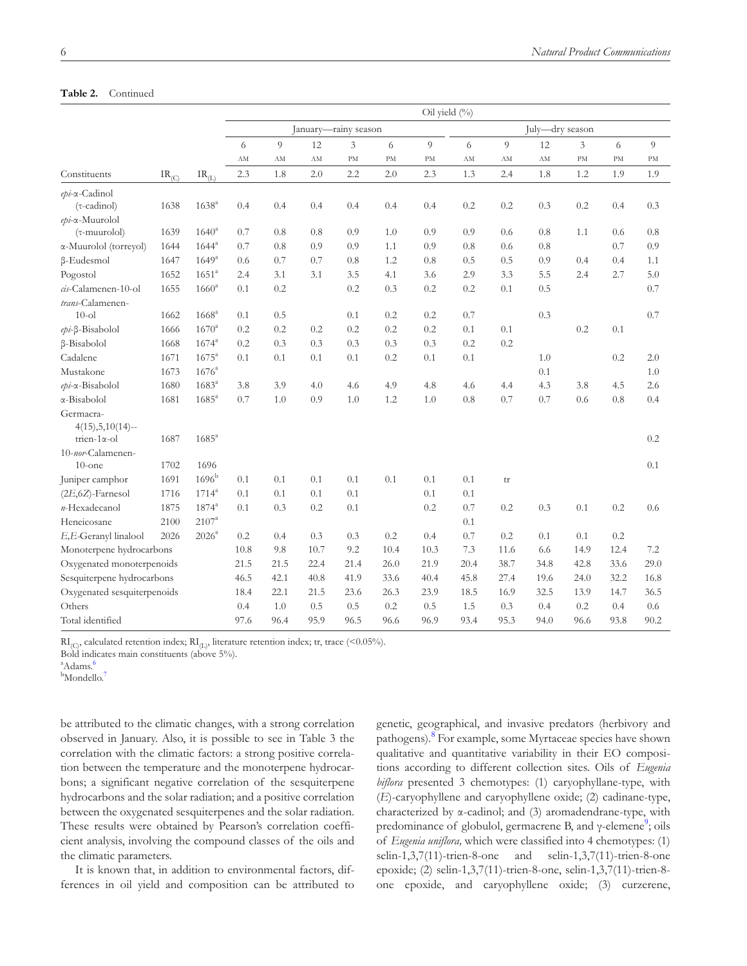### **Table 2.** Continued

|                             |            |                               |      |                                         |      |      |               | Oil yield (%) |      |      |      |      |      |      |  |
|-----------------------------|------------|-------------------------------|------|-----------------------------------------|------|------|---------------|---------------|------|------|------|------|------|------|--|
|                             |            |                               |      | January-rainy season<br>July-dry season |      |      |               |               |      |      |      |      |      |      |  |
|                             |            |                               | 6    | 9                                       | 12   | 3    | 6             | 9             | 6    | 9    | 12   | 3    | 6    | 9    |  |
|                             |            |                               | AM   | AM                                      | AM   | PM   | $\mathrm{PM}$ | PM            | AM   | AM   | AM   | PM   | PM   | PM   |  |
| Constituents                | $IR_{(C)}$ | $\text{IR}_{(\underline{L})}$ | 2.3  | 1.8                                     | 2.0  | 2.2  | 2.0           | 2.3           | 1.3  | 2.4  | 1.8  | 1.2  | 1.9  | 1.9  |  |
| $epi$ - $\alpha$ -Cadinol   |            |                               |      |                                         |      |      |               |               |      |      |      |      |      |      |  |
| $(\tau$ -cadinol)           | 1638       | $1638^{a}$                    | 0.4  | 0.4                                     | 0.4  | 0.4  | 0.4           | 0.4           | 0.2  | 0.2  | 0.3  | 0.2  | 0.4  | 0.3  |  |
| epi-a-Muurolol              |            |                               |      |                                         |      |      |               |               |      |      |      |      |      |      |  |
| $(\tau$ -muurolol)          | 1639       | $1640^{\circ}$                | 0.7  | 0.8                                     | 0.8  | 0.9  | 1.0           | 0.9           | 0.9  | 0.6  | 0.8  | 1.1  | 0.6  | 0.8  |  |
| α-Muurolol (torreyol)       | 1644       | $1644^{\circ}$                | 0.7  | 0.8                                     | 0.9  | 0.9  | 1.1           | 0.9           | 0.8  | 0.6  | 0.8  |      | 0.7  | 0.9  |  |
| $\beta$ -Eudesmol           | 1647       | $1649^{\rm a}$                | 0.6  | 0.7                                     | 0.7  | 0.8  | 1.2           | 0.8           | 0.5  | 0.5  | 0.9  | 0.4  | 0.4  | 1.1  |  |
| Pogostol                    | 1652       | $1651^{\circ}$                | 2.4  | 3.1                                     | 3.1  | 3.5  | 4.1           | 3.6           | 2.9  | 3.3  | 5.5  | 2.4  | 2.7  | 5.0  |  |
| cis-Calamenen-10-ol         | 1655       | $1660^{\rm a}$                | 0.1  | 0.2                                     |      | 0.2  | 0.3           | 0.2           | 0.2  | 0.1  | 0.5  |      |      | 0.7  |  |
| trans-Calamenen-            |            |                               |      |                                         |      |      |               |               |      |      |      |      |      |      |  |
| $10$ -ol                    | 1662       | $1668$ <sup>a</sup>           | 0.1  | 0.5                                     |      | 0.1  | 0.2           | 0.2           | 0.7  |      | 0.3  |      |      | 0.7  |  |
| epi-ß-Bisabolol             | 1666       | $1670^{\rm a}$                | 0.2  | 0.2                                     | 0.2  | 0.2  | 0.2           | 0.2           | 0.1  | 0.1  |      | 0.2  | 0.1  |      |  |
| β-Bisabolol                 | 1668       | $1674^{\rm a}$                | 0.2  | 0.3                                     | 0.3  | 0.3  | 0.3           | 0.3           | 0.2  | 0.2  |      |      |      |      |  |
| Cadalene                    | 1671       | $1675^{\rm a}$                | 0.1  | 0.1                                     | 0.1  | 0.1  | 0.2           | 0.1           | 0.1  |      | 1.0  |      | 0.2  | 2.0  |  |
| Mustakone                   | 1673       | $1676^a$                      |      |                                         |      |      |               |               |      |      | 0.1  |      |      | 1.0  |  |
| $epi$ - $\alpha$ -Bisabolol | 1680       | $1683^a$                      | 3.8  | 3.9                                     | 4.0  | 4.6  | 4.9           | 4.8           | 4.6  | 4.4  | 4.3  | 3.8  | 4.5  | 2.6  |  |
| $\alpha$ -Bisabolol         | 1681       | $1685^{\rm a}$                | 0.7  | 1.0                                     | 0.9  | 1.0  | 1.2           | 1.0           | 0.8  | 0.7  | 0.7  | 0.6  | 0.8  | 0.4  |  |
| Germacra-                   |            |                               |      |                                         |      |      |               |               |      |      |      |      |      |      |  |
| $4(15), 5, 10(14) -$        |            |                               |      |                                         |      |      |               |               |      |      |      |      |      |      |  |
| trien- $1\alpha$ -ol        | 1687       | $1685^{\circ}$                |      |                                         |      |      |               |               |      |      |      |      |      | 0.2  |  |
| 10-nor-Calamenen-           |            |                               |      |                                         |      |      |               |               |      |      |      |      |      |      |  |
| $10$ -one                   | 1702       | 1696                          |      |                                         |      |      |               |               |      |      |      |      |      | 0.1  |  |
| Juniper camphor             | 1691       | 1696 <sup>b</sup>             | 0.1  | 0.1                                     | 0.1  | 0.1  | 0.1           | 0.1           | 0.1  | tr   |      |      |      |      |  |
| $(2E, 6Z)$ -Farnesol        | 1716       | $1714^a$                      | 0.1  | 0.1                                     | 0.1  | 0.1  |               | 0.1           | 0.1  |      |      |      |      |      |  |
| n-Hexadecanol               | 1875       | $1874^{a}$                    | 0.1  | 0.3                                     | 0.2  | 0.1  |               | 0.2           | 0.7  | 0.2  | 0.3  | 0.1  | 0.2  | 0.6  |  |
| Heneicosane                 | 2100       | $2107^{\rm a}$                |      |                                         |      |      |               |               | 0.1  |      |      |      |      |      |  |
| E,E-Geranyl linalool        | 2026       | 2026 <sup>a</sup>             | 0.2  | 0.4                                     | 0.3  | 0.3  | 0.2           | 0.4           | 0.7  | 0.2  | 0.1  | 0.1  | 0.2  |      |  |
| Monoterpene hydrocarbons    |            |                               | 10.8 | 9.8                                     | 10.7 | 9.2  | 10.4          | 10.3          | 7.3  | 11.6 | 6.6  | 14.9 | 12.4 | 7.2  |  |
| Oxygenated monoterpenoids   |            |                               | 21.5 | 21.5                                    | 22.4 | 21.4 | 26.0          | 21.9          | 20.4 | 38.7 | 34.8 | 42.8 | 33.6 | 29.0 |  |
| Sesquiterpene hydrocarbons  |            |                               | 46.5 | 42.1                                    | 40.8 | 41.9 | 33.6          | 40.4          | 45.8 | 27.4 | 19.6 | 24.0 | 32.2 | 16.8 |  |
| Oxygenated sesquiterpenoids |            |                               | 18.4 | 22.1                                    | 21.5 | 23.6 | 26.3          | 23.9          | 18.5 | 16.9 | 32.5 | 13.9 | 14.7 | 36.5 |  |
| Others                      |            |                               | 0.4  | 1.0                                     | 0.5  | 0.5  | 0.2           | 0.5           | 1.5  | 0.3  | 0.4  | 0.2  | 0.4  | 0.6  |  |
| Total identified            |            |                               | 97.6 | 96.4                                    | 95.9 | 96.5 | 96.6          | 96.9          | 93.4 | 95.3 | 94.0 | 96.6 | 93.8 | 90.2 |  |

 $\text{RI}_{\text{(C)}}$ , calculated retention index;  $\text{RI}_{\text{(L)}}$ , literature retention index; tr, trace (<0.05%).

Bold indicates main constituents (above 5%).

<sup>a</sup>Adams.<sup>[6](#page-8-6)</sup>

<sup>b</sup>Mondello.<sup>[7](#page-8-7)</sup>

be attributed to the climatic changes, with a strong correlation observed in January. Also, it is possible to see in [Table 3](#page-6-0) the correlation with the climatic factors: a strong positive correlation between the temperature and the monoterpene hydrocarbons; a significant negative correlation of the sesquiterpene hydrocarbons and the solar radiation; and a positive correlation between the oxygenated sesquiterpenes and the solar radiation. These results were obtained by Pearson's correlation coefficient analysis, involving the compound classes of the oils and the climatic parameters.

It is known that, in addition to environmental factors, differences in oil yield and composition can be attributed to genetic, geographical, and invasive predators (herbivory and pathogens).[8](#page-8-4) For example, some Myrtaceae species have shown qualitative and quantitative variability in their EO compositions according to different collection sites. Oils of *Eugenia biflora* presented 3 chemotypes: (1) caryophyllane-type, with (*E*)-caryophyllene and caryophyllene oxide; (2) cadinane-type, characterized by α-cadinol; and (3) aromadendrane-type, with predominance of globulol, germacrene B, and γ-elemene<sup>9</sup>; oils of *Eugenia uniflora,* which were classified into 4 chemotypes: (1) selin-1,3,7(11)-trien-8-one and selin-1,3,7(11)-trien-8-one epoxide; (2) selin-1,3,7(11)-trien-8-one, selin-1,3,7(11)-trien-8 one epoxide, and caryophyllene oxide; (3) curzerene,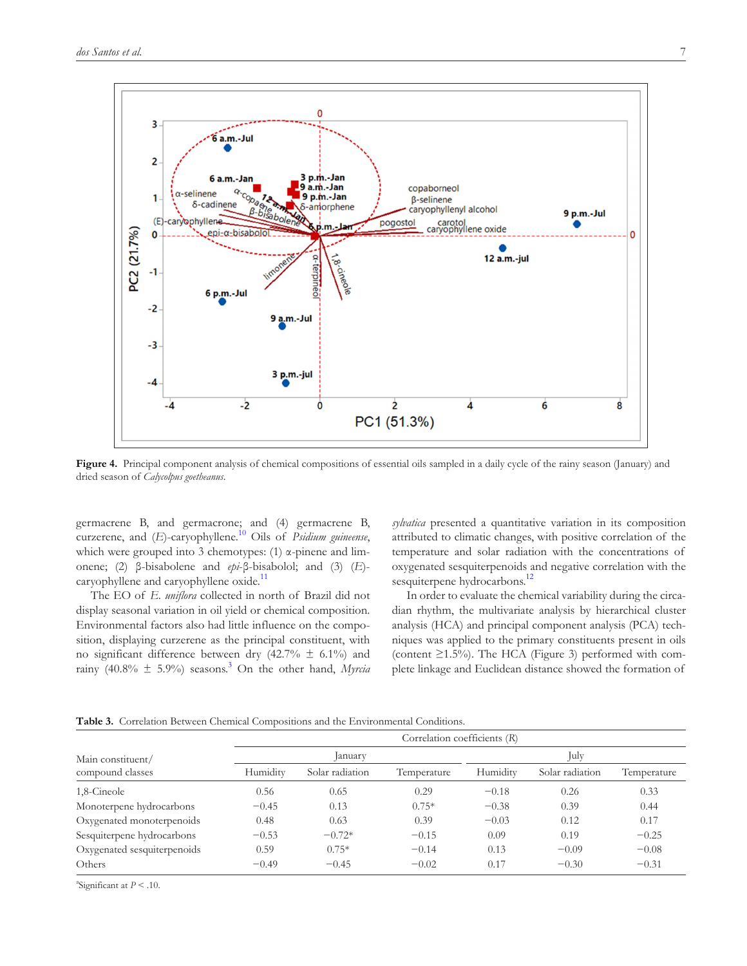

<span id="page-6-1"></span>Figure 4. Principal component analysis of chemical compositions of essential oils sampled in a daily cycle of the rainy season (January) and dried season of *Calycolpus goetheanus*.

germacrene B, and germacrone; and (4) germacrene B, curzerene, and (*E*)-caryophyllene.<sup>10</sup> Oils of *Psidium guineense*, which were grouped into 3 chemotypes: (1) α-pinene and limonene; (2) β-bisabolene and *epi*-β-bisabolol; and (3) (*E*)- caryophyllene and caryophyllene oxide.<sup>[11](#page-8-9)</sup>

The EO of *E. uniflora* collected in north of Brazil did not display seasonal variation in oil yield or chemical composition. Environmental factors also had little influence on the composition, displaying curzerene as the principal constituent, with no significant difference between dry (42.7%  $\pm$  6.1%) and rainy (40.8% ± 5.9%) seasons[.3](#page-8-2) On the other hand, *Myrcia*  *sylvatica* presented a quantitative variation in its composition attributed to climatic changes, with positive correlation of the temperature and solar radiation with the concentrations of oxygenated sesquiterpenoids and negative correlation with the sesquiterpene hydrocarbons.<sup>12</sup>

In order to evaluate the chemical variability during the circadian rhythm, the multivariate analysis by hierarchical cluster analysis (HCA) and principal component analysis (PCA) techniques was applied to the primary constituents present in oils (content  $\geq$ 1.5%). The HCA ([Figure 3\)](#page-2-1) performed with complete linkage and Euclidean distance showed the formation of

<span id="page-6-0"></span>**Table 3.** Correlation Between Chemical Compositions and the Environmental Conditions.

|                             | Correlation coefficients (R) |                 |             |          |                 |             |  |  |  |  |  |
|-----------------------------|------------------------------|-----------------|-------------|----------|-----------------|-------------|--|--|--|--|--|
| Main constituent/           |                              | January         |             | July     |                 |             |  |  |  |  |  |
| compound classes            | Humidity                     | Solar radiation | Temperature | Humidity | Solar radiation | Temperature |  |  |  |  |  |
| 1,8-Cineole                 | 0.56                         | 0.65            | 0.29        | $-0.18$  | 0.26            | 0.33        |  |  |  |  |  |
| Monoterpene hydrocarbons    | $-0.45$                      | 0.13            | $0.75*$     | $-0.38$  | 0.39            | 0.44        |  |  |  |  |  |
| Oxygenated monoterpenoids   | 0.48                         | 0.63            | 0.39        | $-0.03$  | 0.12            | 0.17        |  |  |  |  |  |
| Sesquiterpene hydrocarbons  | $-0.53$                      | $-0.72*$        | $-0.15$     | 0.09     | 0.19            | $-0.25$     |  |  |  |  |  |
| Oxygenated sesquiterpenoids | 0.59                         | $0.75*$         | $-0.14$     | 0.13     | $-0.09$         | $-0.08$     |  |  |  |  |  |
| Others                      | $-0.49$                      | $-0.45$         | $-0.02$     | 0.17     | $-0.30$         | $-0.31$     |  |  |  |  |  |

<sup>a</sup>Significant at  $P < .10$ .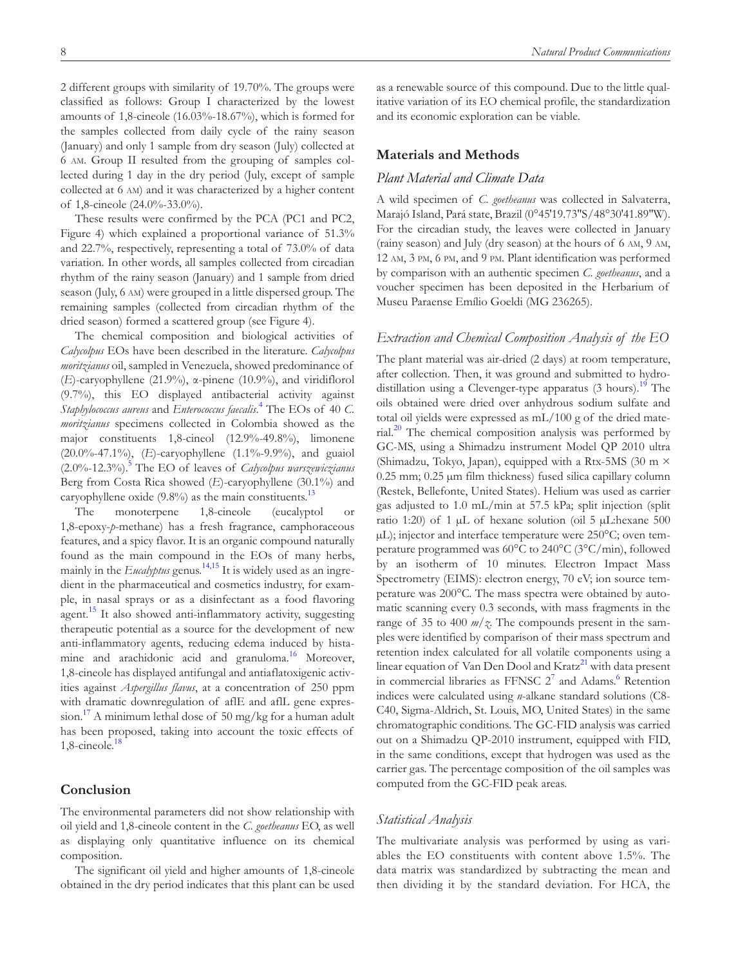2 different groups with similarity of 19.70%. The groups were classified as follows: Group I characterized by the lowest amounts of 1,8-cineole (16.03%-18.67%), which is formed for the samples collected from daily cycle of the rainy season (January) and only 1 sample from dry season (July) collected at 6 am. Group II resulted from the grouping of samples collected during 1 day in the dry period (July, except of sample collected at 6 am) and it was characterized by a higher content

of 1,8-cineole (24.0%-33.0%). These results were confirmed by the PCA (PC1 and PC2, [Figure 4\)](#page-6-1) which explained a proportional variance of 51.3% and 22.7%, respectively, representing a total of 73.0% of data variation. In other words, all samples collected from circadian rhythm of the rainy season (January) and 1 sample from dried season (July, 6 am) were grouped in a little dispersed group. The remaining samples (collected from circadian rhythm of the dried season) formed a scattered group (see [Figure 4\)](#page-6-1).

The chemical composition and biological activities of *Calycolpus* EOs have been described in the literature. *Calycolpus moritzianus* oil, sampled in Venezuela, showed predominance of (*E*)-caryophyllene (21.9%), α-pinene (10.9%), and viridiflorol (9.7%), this EO displayed antibacterial activity against *Staphylococcus aureus* and *Enterococcus faecalis*. [4](#page-8-3) The EOs of 40 *C. moritzianus* specimens collected in Colombia showed as the major constituents 1,8-cineol (12.9%-49.8%), limonene (20.0%-47.1%), (*E*)-caryophyllene (1.1%-9.9%), and guaiol (2.0%-12.3%)[.5](#page-8-11) The EO of leaves of *Calycolpus warszewiczianus* Berg from Costa Rica showed (*E*)-caryophyllene (30.1%) and caryophyllene oxide  $(9.8\%)$  as the main constituents.<sup>[13](#page-8-12)</sup>

The monoterpene 1,8-cineole (eucalyptol or 1,8-epoxy-*p*-methane) has a fresh fragrance, camphoraceous features, and a spicy flavor. It is an organic compound naturally found as the main compound in the EOs of many herbs, mainly in the *Eucalyptus* genus.<sup>14,15</sup> It is widely used as an ingredient in the pharmaceutical and cosmetics industry, for example, in nasal sprays or as a disinfectant as a food flavoring agent.<sup>[15](#page-8-14)</sup> It also showed anti-inflammatory activity, suggesting therapeutic potential as a source for the development of new anti-inflammatory agents, reducing edema induced by histamine and arachidonic acid and granuloma.<sup>16</sup> Moreover, 1,8-cineole has displayed antifungal and antiaflatoxigenic activities against *Aspergillus flavus*, at a concentration of 250 ppm with dramatic downregulation of aflE and aflL gene expres-sion.<sup>[17](#page-8-16)</sup> A minimum lethal dose of 50 mg/kg for a human adult has been proposed, taking into account the toxic effects of  $1,8$ -cineole.<sup>[18](#page-8-17)</sup>

## **Conclusion**

The environmental parameters did not show relationship with oil yield and 1,8-cineole content in the *C. goetheanus* EO, as well as displaying only quantitative influence on its chemical composition.

The significant oil yield and higher amounts of 1,8-cineole obtained in the dry period indicates that this plant can be used as a renewable source of this compound. Due to the little qualitative variation of its EO chemical profile, the standardization and its economic exploration can be viable.

# **Materials and Methods**

### *Plant Material and Climate Data*

A wild specimen of *C. goetheanus* was collected in Salvaterra, Marajó Island, Pará state, Brazil (0°45′19.73″S/48°30′41.89″W). For the circadian study, the leaves were collected in January (rainy season) and July (dry season) at the hours of 6 am, 9 am, 12 am, 3 pm, 6 pm, and 9 pm. Plant identification was performed by comparison with an authentic specimen *C. goetheanus*, and a voucher specimen has been deposited in the Herbarium of Museu Paraense Emílio Goeldi (MG 236265).

#### *Extraction and Chemical Composition Analysis of the EO*

The plant material was air-dried (2 days) at room temperature, after collection. Then, it was ground and submitted to hydrodistillation using a Clevenger-type apparatus (3 hours).<sup>19</sup> The oils obtained were dried over anhydrous sodium sulfate and total oil yields were expressed as mL/100 g of the dried material. $^{20}$  $^{20}$  $^{20}$  The chemical composition analysis was performed by GC-MS, using a Shimadzu instrument Model QP 2010 ultra (Shimadzu, Tokyo, Japan), equipped with a Rtx-5MS (30 m × 0.25 mm; 0.25 µm film thickness) fused silica capillary column (Restek, Bellefonte, United States). Helium was used as carrier gas adjusted to 1.0 mL/min at 57.5 kPa; split injection (split ratio 1:20) of 1  $\mu$ L of hexane solution (oil 5  $\mu$ L:hexane 500 µL); injector and interface temperature were 250°C; oven temperature programmed was 60°C to 240°C (3°C/min), followed by an isotherm of 10 minutes. Electron Impact Mass Spectrometry (EIMS): electron energy, 70 eV; ion source temperature was 200°C. The mass spectra were obtained by automatic scanning every 0.3 seconds, with mass fragments in the range of 35 to 400 *m*/*z*. The compounds present in the samples were identified by comparison of their mass spectrum and retention index calculated for all volatile components using a linear equation of Van Den Dool and Kratz<sup>[21](#page-8-20)</sup> with data present in commercial libraries as FFNSC  $2^7$  $2^7$  and Adams.<sup>[6](#page-8-6)</sup> Retention indices were calculated using *n*-alkane standard solutions (C8- C40, Sigma-Aldrich, St. Louis, MO, United States) in the same chromatographic conditions. The GC-FID analysis was carried out on a Shimadzu QP-2010 instrument, equipped with FID, in the same conditions, except that hydrogen was used as the carrier gas. The percentage composition of the oil samples was computed from the GC-FID peak areas.

#### *Statistical Analysis*

The multivariate analysis was performed by using as variables the EO constituents with content above 1.5%. The data matrix was standardized by subtracting the mean and then dividing it by the standard deviation. For HCA, the